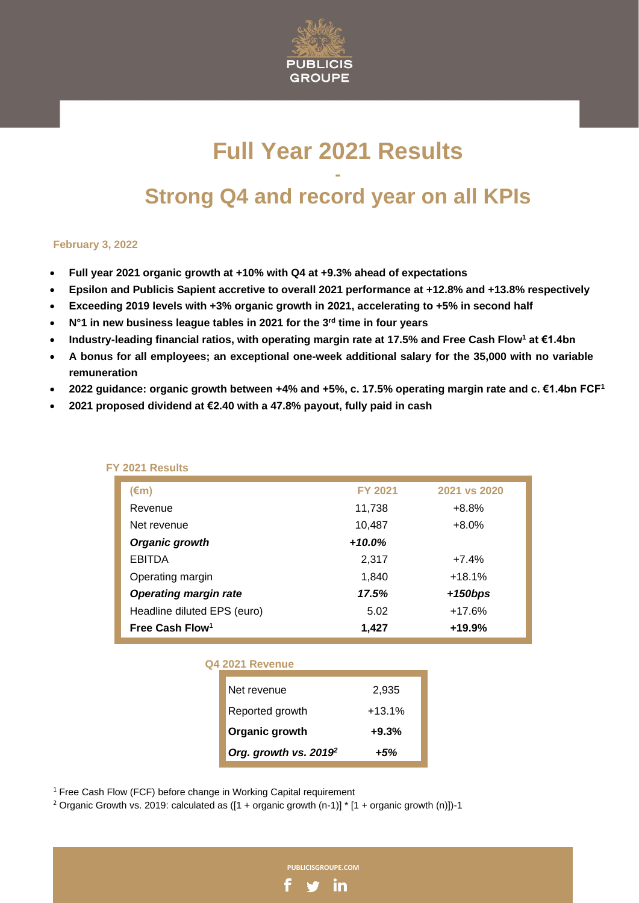

# **Full Year 2021 Results - Strong Q4 and record year on all KPIs**

#### **February 3, 2022**

- **Full year 2021 organic growth at +10% with Q4 at +9.3% ahead of expectations**
- **Epsilon and Publicis Sapient accretive to overall 2021 performance at +12.8% and +13.8% respectively**
- **Exceeding 2019 levels with +3% organic growth in 2021, accelerating to +5% in second half**
- **N°1 in new business league tables in 2021 for the 3rd time in four years**
- **Industry-leading financial ratios, with operating margin rate at 17.5% and Free Cash Flow<sup>1</sup> at €1.4bn**
- **A bonus for all employees; an exceptional one-week additional salary for the 35,000 with no variable remuneration**
- **2022 guidance: organic growth between +4% and +5%, c. 17.5% operating margin rate and c. €1.4bn FCF<sup>1</sup>**
- **2021 proposed dividend at €2.40 with a 47.8% payout, fully paid in cash**

| $(\epsilon m)$               | <b>FY 2021</b> | 2021 vs 2020 |
|------------------------------|----------------|--------------|
| Revenue                      | 11,738         | $+8.8%$      |
| Net revenue                  | 10,487         | $+8.0%$      |
| Organic growth               | $+10.0\%$      |              |
| <b>EBITDA</b>                | 2,317          | $+7.4%$      |
| Operating margin             | 1,840          | $+18.1%$     |
| <b>Operating margin rate</b> | 17.5%          | $+150bps$    |
| Headline diluted EPS (euro)  | 5.02           | $+17.6%$     |
| Free Cash Flow <sup>1</sup>  | 1,427          | $+19.9%$     |

#### **FY 2021 Results**

| Q4 2021 Revenue                   |          |
|-----------------------------------|----------|
| Net revenue                       | 2,935    |
| Reported growth                   | $+13.1%$ |
| Organic growth                    | $+9.3%$  |
| Org. growth vs. 2019 <sup>2</sup> | +5%      |

**PUBLICISGROUPE.COM**

in

<sup>1</sup> Free Cash Flow (FCF) before change in Working Capital requirement

<sup>2</sup> Organic Growth vs. 2019: calculated as  $([1 + \text{organic growth (n-1)}]$  \*  $[1 + \text{organic growth (n)]}$ )-1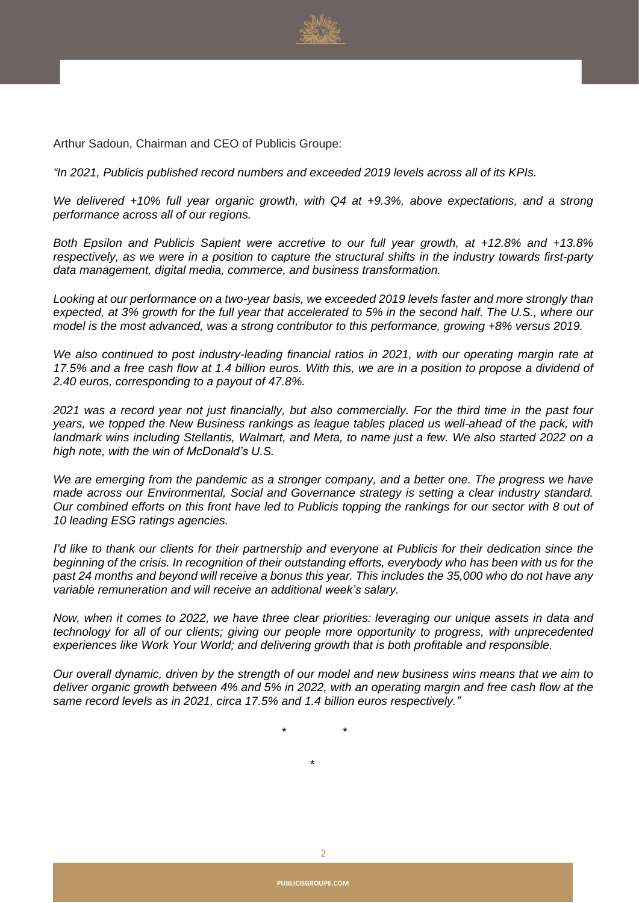

Arthur Sadoun, Chairman and CEO of Publicis Groupe:

*"In 2021, Publicis published record numbers and exceeded 2019 levels across all of its KPIs.*

*We delivered +10% full year organic growth, with Q4 at +9.3%, above expectations, and a strong performance across all of our regions.*

*Both Epsilon and Publicis Sapient were accretive to our full year growth, at +12.8% and +13.8%* respectively, as we were in a position to capture the structural shifts in the industry towards first-party *data management, digital media, commerce, and business transformation.*

*Looking at our performance on a two-year basis, we exceeded 2019 levels faster and more strongly than* expected, at 3% growth for the full year that accelerated to 5% in the second half. The U.S., where our *model is the most advanced, was a strong contributor to this performance, growing +8% versus 2019.*

*We also continued to post industry-leading financial ratios in 2021, with our operating margin rate at* 17.5% and a free cash flow at 1.4 billion euros. With this, we are in a position to propose a dividend of *2.40 euros, corresponding to a payout of 47.8%.*

2021 was a record year not just financially, but also commercially. For the third time in the past four *years, we topped the New Business rankings as league tables placed us well-ahead of the pack, with* landmark wins including Stellantis, Walmart, and Meta, to name just a few. We also started 2022 on a *high note, with the win of McDonald's U.S.*

*We are emerging from the pandemic as a stronger company, and a better one. The progress we have made across our Environmental, Social and Governance strategy is setting a clear industry standard.* Our combined efforts on this front have led to Publicis topping the rankings for our sector with 8 out of *10 leading ESG ratings agencies.*

I'd like to thank our clients for their partnership and everyone at Publicis for their dedication since the beginning of the crisis. In recognition of their outstanding efforts, everybody who has been with us for the past 24 months and beyond will receive a bonus this year. This includes the 35,000 who do not have any *variable remuneration and will receive an additional week's salary.*

Now, when it comes to 2022, we have three clear priorities: leveraging our unique assets in data and *technology for all of our clients; giving our people more opportunity to progress, with unprecedented experiences like Work Your World; and delivering growth that is both profitable and responsible.*

Our overall dynamic, driven by the strength of our model and new business wins means that we aim to deliver organic growth between 4% and 5% in 2022, with an operating margin and free cash flow at the *same record levels as in 2021, circa 17.5% and 1.4 billion euros respectively."*

*\* \**

*\**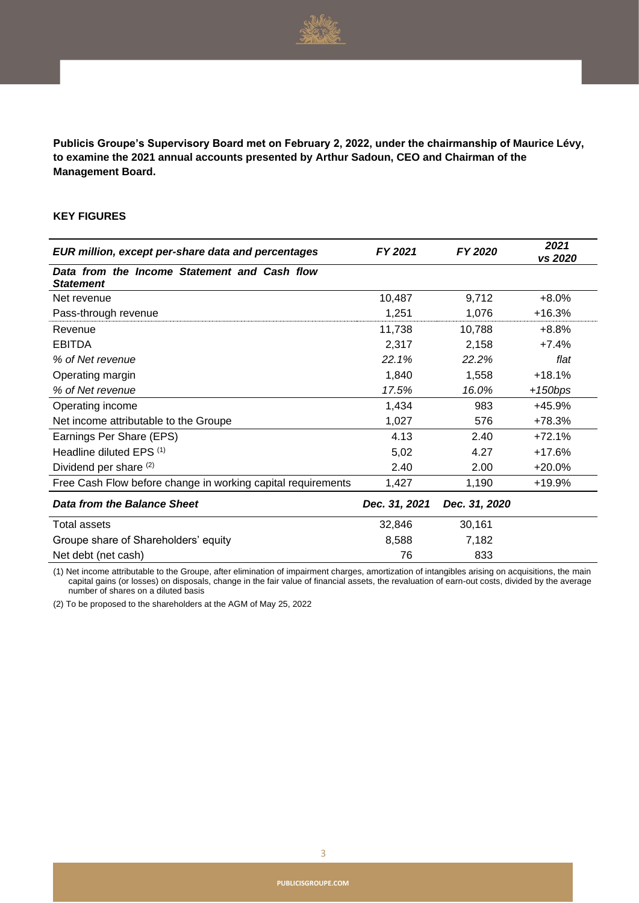

**Publicis Groupe's Supervisory Board met on February 2, 2022, under the chairmanship of Maurice Lévy, to examine the 2021 annual accounts presented by Arthur Sadoun, CEO and Chairman of the Management Board.**

#### **KEY FIGURES**

| EUR million, except per-share data and percentages               | FY 2021       | FY 2020       | 2021<br>vs 2020 |
|------------------------------------------------------------------|---------------|---------------|-----------------|
| Data from the Income Statement and Cash flow<br><b>Statement</b> |               |               |                 |
| Net revenue                                                      | 10,487        | 9,712         | $+8.0%$         |
| Pass-through revenue                                             | 1,251         | 1,076         | $+16.3%$        |
| Revenue                                                          | 11,738        | 10,788        | $+8.8%$         |
| <b>EBITDA</b>                                                    | 2,317         | 2,158         | $+7.4%$         |
| % of Net revenue                                                 | 22.1%         | 22.2%         | flat            |
| Operating margin                                                 | 1,840         | 1,558         | $+18.1%$        |
| % of Net revenue                                                 | 17.5%         | 16.0%         | $+150bps$       |
| Operating income                                                 | 1,434         | 983           | +45.9%          |
| Net income attributable to the Groupe                            | 1,027         | 576           | +78.3%          |
| Earnings Per Share (EPS)                                         | 4.13          | 2.40          | $+72.1%$        |
| Headline diluted EPS (1)                                         | 5,02          | 4.27          | $+17.6%$        |
| Dividend per share (2)                                           | 2.40          | 2.00          | $+20.0%$        |
| Free Cash Flow before change in working capital requirements     | 1,427         | 1,190         | +19.9%          |
| Data from the Balance Sheet                                      | Dec. 31, 2021 | Dec. 31, 2020 |                 |
| Total assets                                                     | 32,846        | 30,161        |                 |
| Groupe share of Shareholders' equity                             | 8,588         | 7,182         |                 |
| Net debt (net cash)                                              | 76            | 833           |                 |

(1) Net income attributable to the Groupe, after elimination of impairment charges, amortization of intangibles arising on acquisitions, the main capital gains (or losses) on disposals, change in the fair value of financial assets, the revaluation of earn-out costs, divided by the average number of shares on a diluted basis

(2) To be proposed to the shareholders at the AGM of May 25, 2022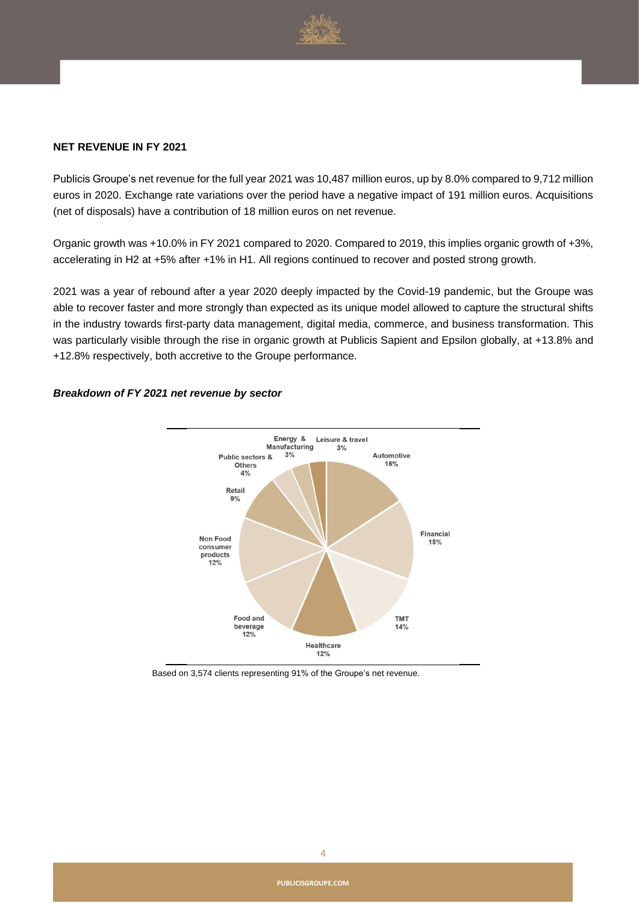

#### **NET REVENUE IN FY 2021**

Publicis Groupe's net revenue for the full year 2021 was 10,487 million euros, up by 8.0% compared to 9,712 million euros in 2020. Exchange rate variations over the period have a negative impact of 191 million euros. Acquisitions (net of disposals) have a contribution of 18 million euros on net revenue.

Organic growth was +10.0% in FY 2021 compared to 2020. Compared to 2019, this implies organic growth of +3%, accelerating in H2 at +5% after +1% in H1. All regions continued to recover and posted strong growth.

2021 was a year of rebound after a year 2020 deeply impacted by the Covid-19 pandemic, but the Groupe was able to recover faster and more strongly than expected as its unique model allowed to capture the structural shifts in the industry towards first-party data management, digital media, commerce, and business transformation. This was particularly visible through the rise in organic growth at Publicis Sapient and Epsilon globally, at +13.8% and +12.8% respectively, both accretive to the Groupe performance.



#### *Breakdown of FY 2021 net revenue by sector*

Based on 3,574 clients representing 91% of the Groupe's net revenue.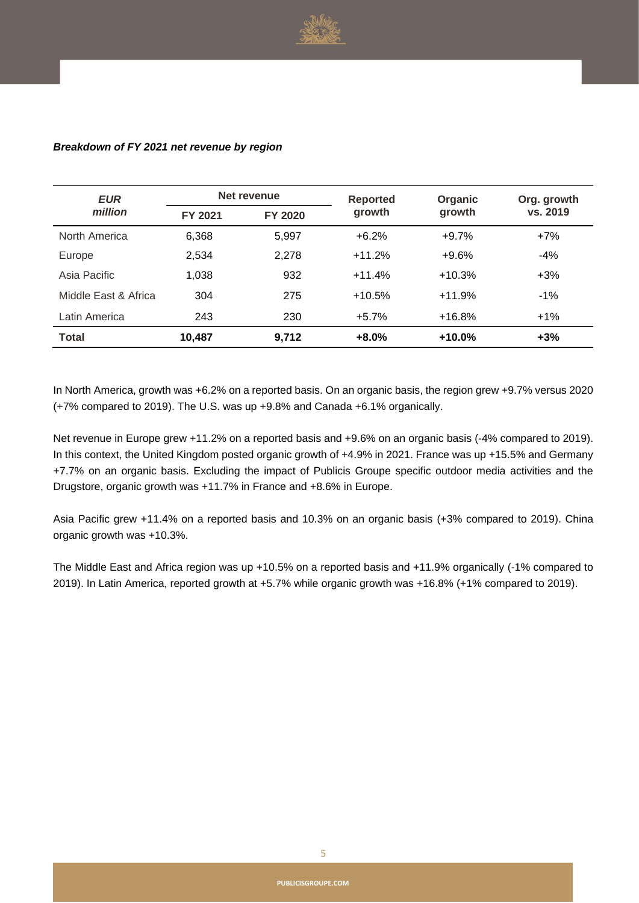

| <b>EUR</b>           | Net revenue |         | <b>Reported</b> | Organic  | Org. growth |  |
|----------------------|-------------|---------|-----------------|----------|-------------|--|
| million              | FY 2021     | FY 2020 | growth          | growth   | vs. 2019    |  |
| North America        | 6,368       | 5,997   | $+6.2%$         | $+9.7%$  | $+7%$       |  |
| Europe               | 2,534       | 2,278   | $+11.2%$        | $+9.6%$  | $-4%$       |  |
| Asia Pacific         | 1,038       | 932     | $+11.4%$        | $+10.3%$ | $+3%$       |  |
| Middle East & Africa | 304         | 275     | $+10.5%$        | $+11.9%$ | $-1\%$      |  |
| Latin America        | 243         | 230     | $+5.7%$         | $+16.8%$ | $+1\%$      |  |
| <b>Total</b>         | 10,487      | 9,712   | $+8.0%$         | $+10.0%$ | $+3%$       |  |

#### *Breakdown of FY 2021 net revenue by region*

In North America, growth was +6.2% on a reported basis. On an organic basis, the region grew +9.7% versus 2020 (+7% compared to 2019). The U.S. was up +9.8% and Canada +6.1% organically.

Net revenue in Europe grew +11.2% on a reported basis and +9.6% on an organic basis (-4% compared to 2019). In this context, the United Kingdom posted organic growth of +4.9% in 2021. France was up +15.5% and Germany +7.7% on an organic basis. Excluding the impact of Publicis Groupe specific outdoor media activities and the Drugstore, organic growth was +11.7% in France and +8.6% in Europe.

Asia Pacific grew +11.4% on a reported basis and 10.3% on an organic basis (+3% compared to 2019). China organic growth was +10.3%.

The Middle East and Africa region was up +10.5% on a reported basis and +11.9% organically (-1% compared to 2019). In Latin America, reported growth at +5.7% while organic growth was +16.8% (+1% compared to 2019).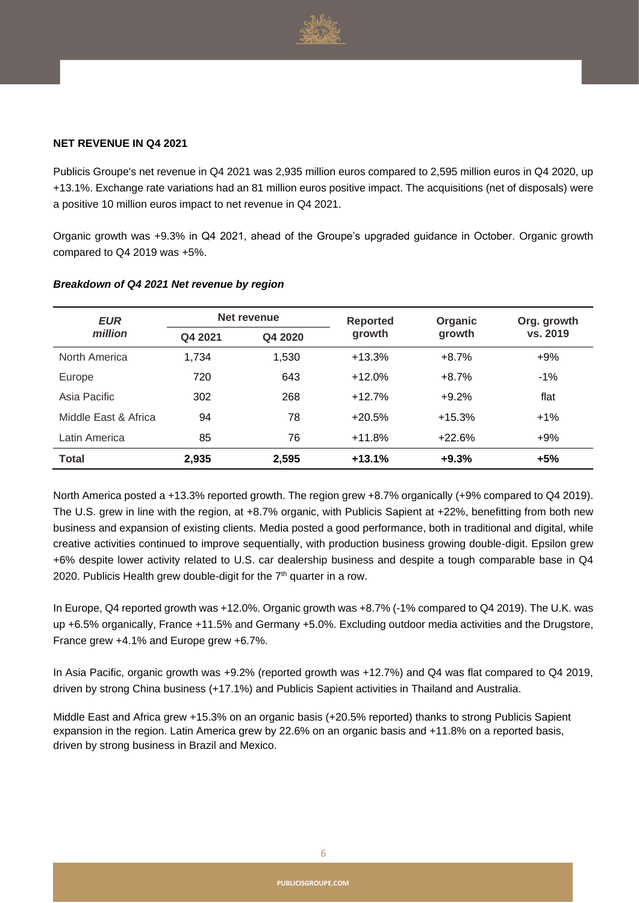

#### **NET REVENUE IN Q4 2021**

Publicis Groupe's net revenue in Q4 2021 was 2,935 million euros compared to 2,595 million euros in Q4 2020, up +13.1%. Exchange rate variations had an 81 million euros positive impact. The acquisitions (net of disposals) were a positive 10 million euros impact to net revenue in Q4 2021.

Organic growth was +9.3% in Q4 2021, ahead of the Groupe's upgraded guidance in October. Organic growth compared to Q4 2019 was +5%.

| <b>EUR</b><br>million | Net revenue |         | <b>Reported</b> | Organic  | Org. growth |
|-----------------------|-------------|---------|-----------------|----------|-------------|
|                       | Q4 2021     | Q4 2020 | growth          | growth   | vs. 2019    |
| North America         | 1,734       | 1,530   | $+13.3%$        | $+8.7%$  | $+9%$       |
| Europe                | 720         | 643     | $+12.0%$        | $+8.7%$  | $-1%$       |
| Asia Pacific          | 302         | 268     | $+12.7%$        | $+9.2%$  | flat        |
| Middle East & Africa  | 94          | 78      | $+20.5%$        | $+15.3%$ | $+1%$       |
| Latin America         | 85          | 76      | $+11.8%$        | $+22.6%$ | $+9%$       |
| <b>Total</b>          | 2.935       | 2,595   | $+13.1%$        | $+9.3%$  | $+5%$       |

#### *Breakdown of Q4 2021 Net revenue by region*

North America posted a +13.3% reported growth. The region grew +8.7% organically (+9% compared to Q4 2019). The U.S. grew in line with the region, at +8.7% organic, with Publicis Sapient at +22%, benefitting from both new business and expansion of existing clients. Media posted a good performance, both in traditional and digital, while creative activities continued to improve sequentially, with production business growing double-digit. Epsilon grew +6% despite lower activity related to U.S. car dealership business and despite a tough comparable base in Q4 2020. Publicis Health grew double-digit for the 7<sup>th</sup> quarter in a row.

In Europe, Q4 reported growth was +12.0%. Organic growth was +8.7% (-1% compared to Q4 2019). The U.K. was up +6.5% organically, France +11.5% and Germany +5.0%. Excluding outdoor media activities and the Drugstore, France grew +4.1% and Europe grew +6.7%.

In Asia Pacific, organic growth was +9.2% (reported growth was +12.7%) and Q4 was flat compared to Q4 2019, driven by strong China business (+17.1%) and Publicis Sapient activities in Thailand and Australia.

Middle East and Africa grew +15.3% on an organic basis (+20.5% reported) thanks to strong Publicis Sapient expansion in the region. Latin America grew by 22.6% on an organic basis and +11.8% on a reported basis, driven by strong business in Brazil and Mexico.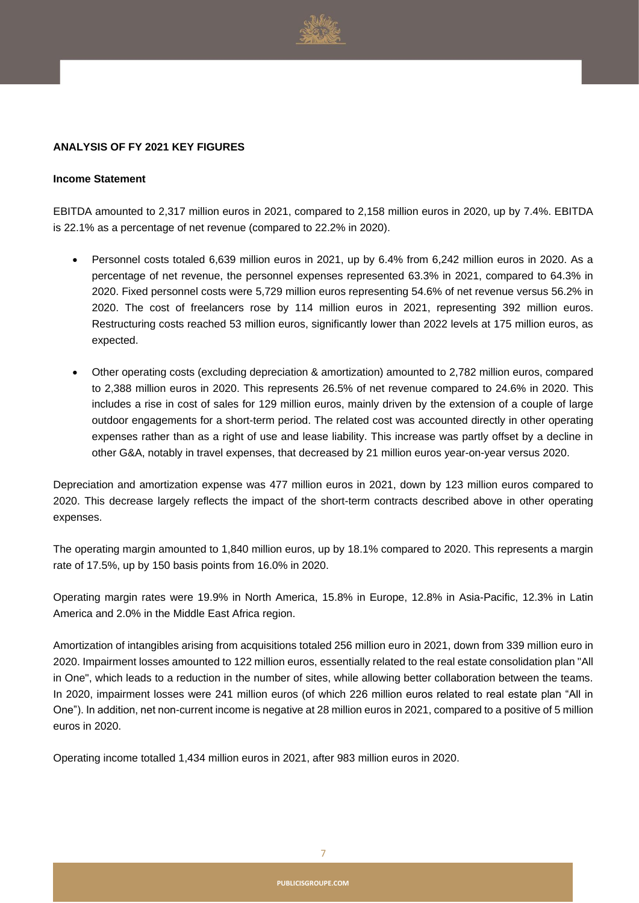

#### **ANALYSIS OF FY 2021 KEY FIGURES**

#### **Income Statement**

EBITDA amounted to 2,317 million euros in 2021, compared to 2,158 million euros in 2020, up by 7.4%. EBITDA is 22.1% as a percentage of net revenue (compared to 22.2% in 2020).

- Personnel costs totaled 6,639 million euros in 2021, up by 6.4% from 6,242 million euros in 2020. As a percentage of net revenue, the personnel expenses represented 63.3% in 2021, compared to 64.3% in 2020. Fixed personnel costs were 5,729 million euros representing 54.6% of net revenue versus 56.2% in 2020. The cost of freelancers rose by 114 million euros in 2021, representing 392 million euros. Restructuring costs reached 53 million euros, significantly lower than 2022 levels at 175 million euros, as expected.
- Other operating costs (excluding depreciation & amortization) amounted to 2,782 million euros, compared to 2,388 million euros in 2020. This represents 26.5% of net revenue compared to 24.6% in 2020. This includes a rise in cost of sales for 129 million euros, mainly driven by the extension of a couple of large outdoor engagements for a short-term period. The related cost was accounted directly in other operating expenses rather than as a right of use and lease liability. This increase was partly offset by a decline in other G&A, notably in travel expenses, that decreased by 21 million euros year-on-year versus 2020.

Depreciation and amortization expense was 477 million euros in 2021, down by 123 million euros compared to 2020. This decrease largely reflects the impact of the short-term contracts described above in other operating expenses.

The operating margin amounted to 1,840 million euros, up by 18.1% compared to 2020. This represents a margin rate of 17.5%, up by 150 basis points from 16.0% in 2020.

Operating margin rates were 19.9% in North America, 15.8% in Europe, 12.8% in Asia-Pacific, 12.3% in Latin America and 2.0% in the Middle East Africa region.

Amortization of intangibles arising from acquisitions totaled 256 million euro in 2021, down from 339 million euro in 2020. Impairment losses amounted to 122 million euros, essentially related to the real estate consolidation plan "All in One", which leads to a reduction in the number of sites, while allowing better collaboration between the teams. In 2020, impairment losses were 241 million euros (of which 226 million euros related to real estate plan "All in One"). In addition, net non-current income is negative at 28 million euros in 2021, compared to a positive of 5 million euros in 2020.

Operating income totalled 1,434 million euros in 2021, after 983 million euros in 2020.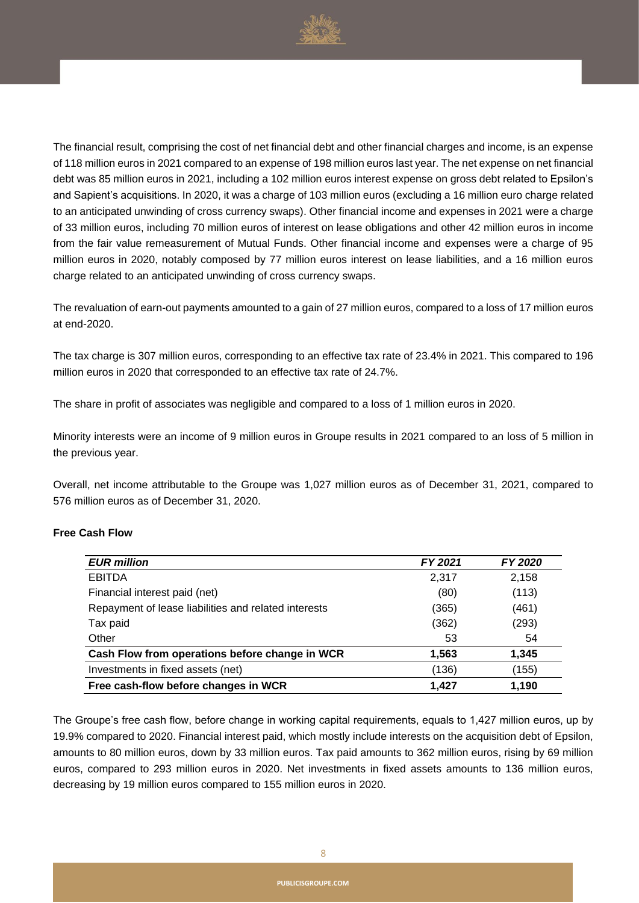

The financial result, comprising the cost of net financial debt and other financial charges and income, is an expense of 118 million euros in 2021 compared to an expense of 198 million euros last year. The net expense on net financial debt was 85 million euros in 2021, including a 102 million euros interest expense on gross debt related to Epsilon's and Sapient's acquisitions. In 2020, it was a charge of 103 million euros (excluding a 16 million euro charge related to an anticipated unwinding of cross currency swaps). Other financial income and expenses in 2021 were a charge of 33 million euros, including 70 million euros of interest on lease obligations and other 42 million euros in income from the fair value remeasurement of Mutual Funds. Other financial income and expenses were a charge of 95 million euros in 2020, notably composed by 77 million euros interest on lease liabilities, and a 16 million euros charge related to an anticipated unwinding of cross currency swaps.

The revaluation of earn-out payments amounted to a gain of 27 million euros, compared to a loss of 17 million euros at end-2020.

The tax charge is 307 million euros, corresponding to an effective tax rate of 23.4% in 2021. This compared to 196 million euros in 2020 that corresponded to an effective tax rate of 24.7%.

The share in profit of associates was negligible and compared to a loss of 1 million euros in 2020.

Minority interests were an income of 9 million euros in Groupe results in 2021 compared to an loss of 5 million in the previous year.

Overall, net income attributable to the Groupe was 1,027 million euros as of December 31, 2021, compared to 576 million euros as of December 31, 2020.

#### **Free Cash Flow**

| <b>EUR million</b>                                   | FY 2021 | <b>FY 2020</b> |
|------------------------------------------------------|---------|----------------|
| <b>EBITDA</b>                                        | 2.317   | 2,158          |
| Financial interest paid (net)                        | (80)    | (113)          |
| Repayment of lease liabilities and related interests | (365)   | (461)          |
| Tax paid                                             | (362)   | (293)          |
| Other                                                | 53      | 54             |
| Cash Flow from operations before change in WCR       | 1,563   | 1,345          |
| Investments in fixed assets (net)                    | (136)   | (155)          |
| Free cash-flow before changes in WCR                 | 1.427   | 1,190          |

The Groupe's free cash flow, before change in working capital requirements, equals to 1,427 million euros, up by 19.9% compared to 2020. Financial interest paid, which mostly include interests on the acquisition debt of Epsilon, amounts to 80 million euros, down by 33 million euros. Tax paid amounts to 362 million euros, rising by 69 million euros, compared to 293 million euros in 2020. Net investments in fixed assets amounts to 136 million euros, decreasing by 19 million euros compared to 155 million euros in 2020.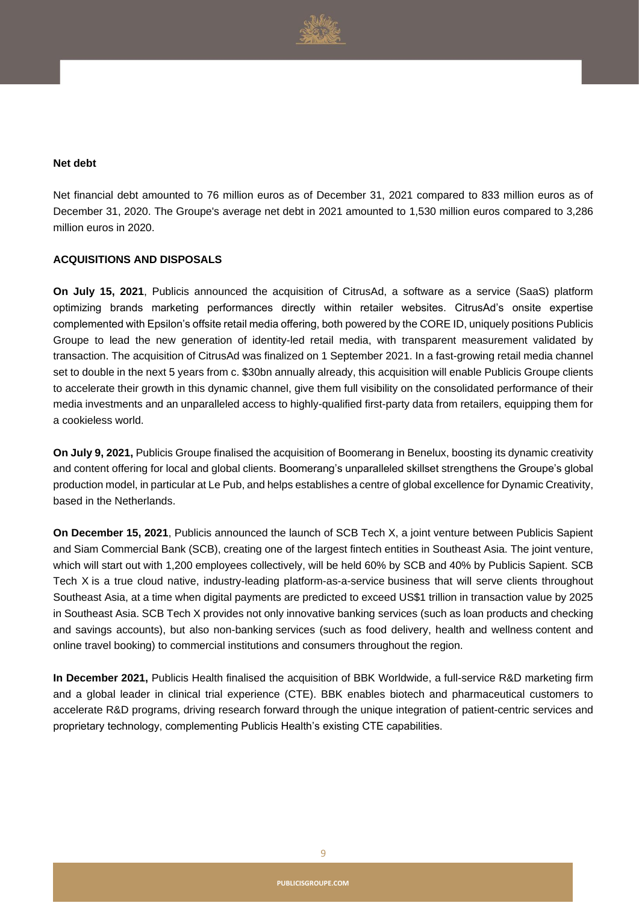

#### **Net debt**

Net financial debt amounted to 76 million euros as of December 31, 2021 compared to 833 million euros as of December 31, 2020. The Groupe's average net debt in 2021 amounted to 1,530 million euros compared to 3,286 million euros in 2020.

#### **ACQUISITIONS AND DISPOSALS**

**On July 15, 2021**, Publicis announced the acquisition of CitrusAd, a software as a service (SaaS) platform optimizing brands marketing performances directly within retailer websites. CitrusAd's onsite expertise complemented with Epsilon's offsite retail media offering, both powered by the CORE ID, uniquely positions Publicis Groupe to lead the new generation of identity-led retail media, with transparent measurement validated by transaction. The acquisition of CitrusAd was finalized on 1 September 2021. In a fast-growing retail media channel set to double in the next 5 years from c. \$30bn annually already, this acquisition will enable Publicis Groupe clients to accelerate their growth in this dynamic channel, give them full visibility on the consolidated performance of their media investments and an unparalleled access to highly-qualified first-party data from retailers, equipping them for a cookieless world.

**On July 9, 2021,** Publicis Groupe finalised the acquisition of Boomerang in Benelux, boosting its dynamic creativity and content offering for local and global clients. Boomerang's unparalleled skillset strengthens the Groupe's global production model, in particular at Le Pub, and helps establishes a centre of global excellence for Dynamic Creativity, based in the Netherlands.

**On December 15, 2021**, Publicis announced the launch of SCB Tech X, a joint venture between Publicis Sapient and Siam Commercial Bank (SCB), creating one of the largest fintech entities in Southeast Asia. The joint venture, which will start out with 1,200 employees collectively, will be held 60% by SCB and 40% by Publicis Sapient. SCB Tech X is a true cloud native, industry-leading platform-as-a-service business that will serve clients throughout Southeast Asia, at a time when digital payments are predicted to exceed US\$1 trillion in transaction value by 2025 in Southeast Asia. SCB Tech X provides not only innovative banking services (such as loan products and checking and savings accounts), but also non-banking services (such as food delivery, health and wellness content and online travel booking) to commercial institutions and consumers throughout the region.

**In December 2021,** Publicis Health finalised the acquisition of BBK Worldwide, a full-service R&D marketing firm and a global leader in clinical trial experience (CTE). BBK enables biotech and pharmaceutical customers to accelerate R&D programs, driving research forward through the unique integration of patient-centric services and proprietary technology, complementing Publicis Health's existing CTE capabilities.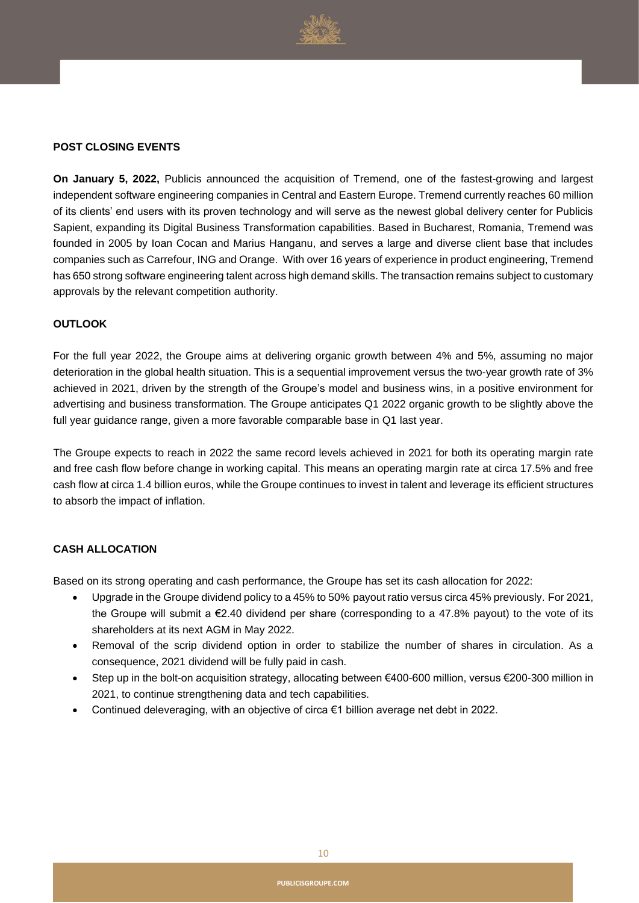

#### **POST CLOSING EVENTS**

**On January 5, 2022,** Publicis announced the acquisition of Tremend, one of the fastest-growing and largest independent software engineering companies in Central and Eastern Europe. Tremend currently reaches 60 million of its clients' end users with its proven technology and will serve as the newest global delivery center for Publicis Sapient, expanding its Digital Business Transformation capabilities. Based in Bucharest, Romania, Tremend was founded in 2005 by Ioan Cocan and Marius Hanganu, and serves a large and diverse client base that includes companies such as Carrefour, ING and Orange. With over 16 years of experience in product engineering, Tremend has 650 strong software engineering talent across high demand skills. The transaction remains subject to customary approvals by the relevant competition authority.

#### **OUTLOOK**

For the full year 2022, the Groupe aims at delivering organic growth between 4% and 5%, assuming no major deterioration in the global health situation. This is a sequential improvement versus the two-year growth rate of 3% achieved in 2021, driven by the strength of the Groupe's model and business wins, in a positive environment for advertising and business transformation. The Groupe anticipates Q1 2022 organic growth to be slightly above the full year guidance range, given a more favorable comparable base in Q1 last year.

The Groupe expects to reach in 2022 the same record levels achieved in 2021 for both its operating margin rate and free cash flow before change in working capital. This means an operating margin rate at circa 17.5% and free cash flow at circa 1.4 billion euros, while the Groupe continues to invest in talent and leverage its efficient structures to absorb the impact of inflation.

#### **CASH ALLOCATION**

Based on its strong operating and cash performance, the Groupe has set its cash allocation for 2022:

- Upgrade in the Groupe dividend policy to a 45% to 50% payout ratio versus circa 45% previously. For 2021, the Groupe will submit a €2.40 dividend per share (corresponding to a 47.8% payout) to the vote of its shareholders at its next AGM in May 2022.
- Removal of the scrip dividend option in order to stabilize the number of shares in circulation. As a consequence, 2021 dividend will be fully paid in cash.
- Step up in the bolt-on acquisition strategy, allocating between €400-600 million, versus €200-300 million in 2021, to continue strengthening data and tech capabilities.
- Continued deleveraging, with an objective of circa €1 billion average net debt in 2022.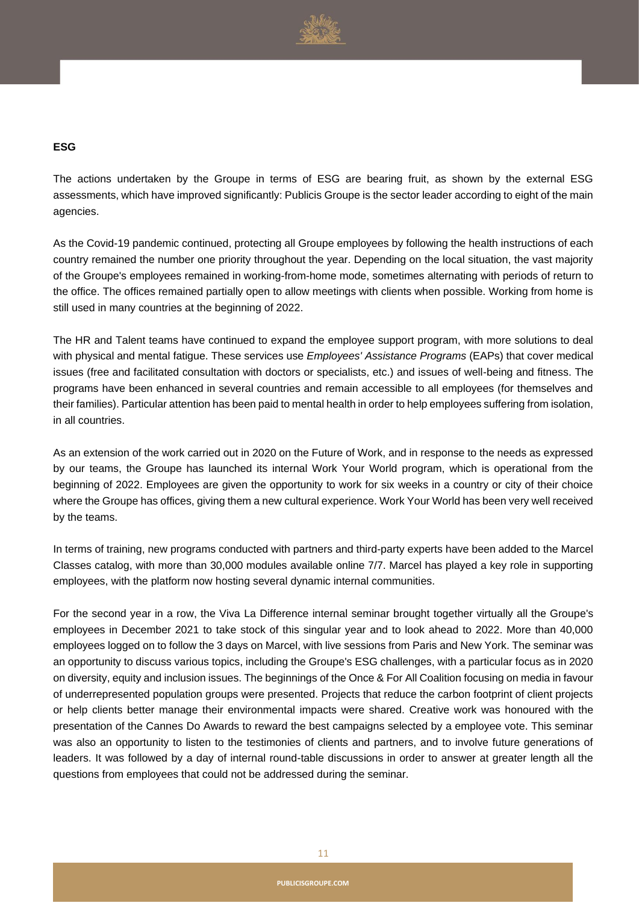

#### **ESG**

The actions undertaken by the Groupe in terms of ESG are bearing fruit, as shown by the external ESG assessments, which have improved significantly: Publicis Groupe is the sector leader according to eight of the main agencies.

As the Covid-19 pandemic continued, protecting all Groupe employees by following the health instructions of each country remained the number one priority throughout the year. Depending on the local situation, the vast majority of the Groupe's employees remained in working-from-home mode, sometimes alternating with periods of return to the office. The offices remained partially open to allow meetings with clients when possible. Working from home is still used in many countries at the beginning of 2022.

The HR and Talent teams have continued to expand the employee support program, with more solutions to deal with physical and mental fatigue. These services use *Employees' Assistance Programs* (EAPs) that cover medical issues (free and facilitated consultation with doctors or specialists, etc.) and issues of well-being and fitness. The programs have been enhanced in several countries and remain accessible to all employees (for themselves and their families). Particular attention has been paid to mental health in order to help employees suffering from isolation, in all countries.

As an extension of the work carried out in 2020 on the Future of Work, and in response to the needs as expressed by our teams, the Groupe has launched its internal Work Your World program, which is operational from the beginning of 2022. Employees are given the opportunity to work for six weeks in a country or city of their choice where the Groupe has offices, giving them a new cultural experience. Work Your World has been very well received by the teams.

In terms of training, new programs conducted with partners and third-party experts have been added to the Marcel Classes catalog, with more than 30,000 modules available online 7/7. Marcel has played a key role in supporting employees, with the platform now hosting several dynamic internal communities.

For the second year in a row, the Viva La Difference internal seminar brought together virtually all the Groupe's employees in December 2021 to take stock of this singular year and to look ahead to 2022. More than 40,000 employees logged on to follow the 3 days on Marcel, with live sessions from Paris and New York. The seminar was an opportunity to discuss various topics, including the Groupe's ESG challenges, with a particular focus as in 2020 on diversity, equity and inclusion issues. The beginnings of the Once & For All Coalition focusing on media in favour of underrepresented population groups were presented. Projects that reduce the carbon footprint of client projects or help clients better manage their environmental impacts were shared. Creative work was honoured with the presentation of the Cannes Do Awards to reward the best campaigns selected by a employee vote. This seminar was also an opportunity to listen to the testimonies of clients and partners, and to involve future generations of leaders. It was followed by a day of internal round-table discussions in order to answer at greater length all the questions from employees that could not be addressed during the seminar.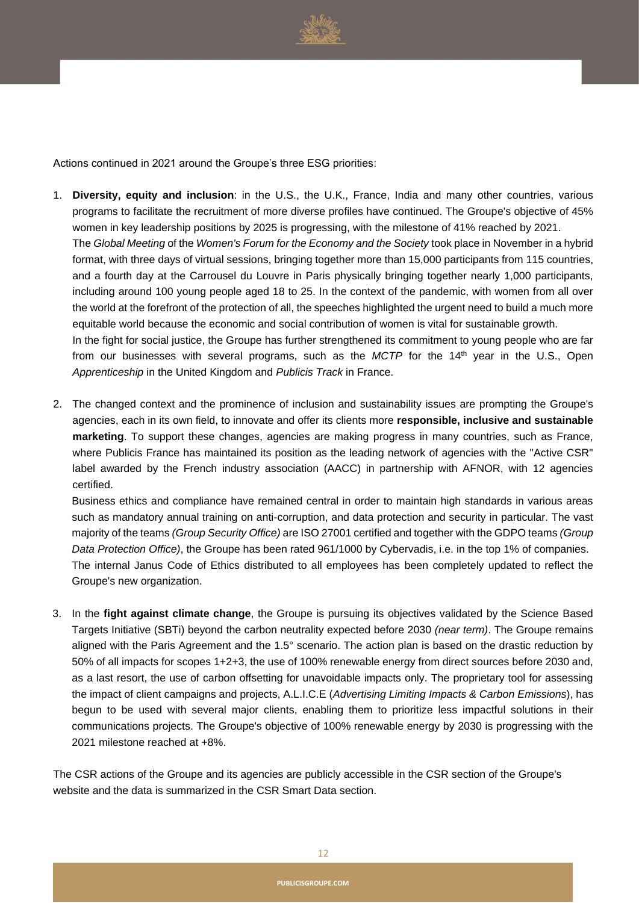

Actions continued in 2021 around the Groupe's three ESG priorities:

- 1. **Diversity, equity and inclusion**: in the U.S., the U.K., France, India and many other countries, various programs to facilitate the recruitment of more diverse profiles have continued. The Groupe's objective of 45% women in key leadership positions by 2025 is progressing, with the milestone of 41% reached by 2021. The *Global Meeting* of the *Women's Forum for the Economy and the Society* took place in November in a hybrid format, with three days of virtual sessions, bringing together more than 15,000 participants from 115 countries, and a fourth day at the Carrousel du Louvre in Paris physically bringing together nearly 1,000 participants, including around 100 young people aged 18 to 25. In the context of the pandemic, with women from all over the world at the forefront of the protection of all, the speeches highlighted the urgent need to build a much more equitable world because the economic and social contribution of women is vital for sustainable growth. In the fight for social justice, the Groupe has further strengthened its commitment to young people who are far from our businesses with several programs, such as the *MCTP* for the 14<sup>th</sup> year in the U.S., Open *Apprenticeship* in the United Kingdom and *Publicis Track* in France.
- 2. The changed context and the prominence of inclusion and sustainability issues are prompting the Groupe's agencies, each in its own field, to innovate and offer its clients more **responsible, inclusive and sustainable marketing**. To support these changes, agencies are making progress in many countries, such as France, where Publicis France has maintained its position as the leading network of agencies with the "Active CSR" label awarded by the French industry association (AACC) in partnership with AFNOR, with 12 agencies certified.

Business ethics and compliance have remained central in order to maintain high standards in various areas such as mandatory annual training on anti-corruption, and data protection and security in particular. The vast majority of the teams *(Group Security Office)* are ISO 27001 certified and together with the GDPO teams *(Group Data Protection Office)*, the Groupe has been rated 961/1000 by Cybervadis, i.e. in the top 1% of companies. The internal Janus Code of Ethics distributed to all employees has been completely updated to reflect the Groupe's new organization.

3. In the **fight against climate change**, the Groupe is pursuing its objectives validated by the Science Based Targets Initiative (SBTi) beyond the carbon neutrality expected before 2030 *(near term)*. The Groupe remains aligned with the Paris Agreement and the 1.5° scenario. The action plan is based on the drastic reduction by 50% of all impacts for scopes 1+2+3, the use of 100% renewable energy from direct sources before 2030 and, as a last resort, the use of carbon offsetting for unavoidable impacts only. The proprietary tool for assessing the impact of client campaigns and projects, A.L.I.C.E (*Advertising Limiting Impacts & Carbon Emissions*), has begun to be used with several major clients, enabling them to prioritize less impactful solutions in their communications projects. The Groupe's objective of 100% renewable energy by 2030 is progressing with the 2021 milestone reached at +8%.

The CSR actions of the Groupe and its agencies are publicly accessible in the CSR section of the Groupe's website and the data is summarized in the CSR Smart Data section.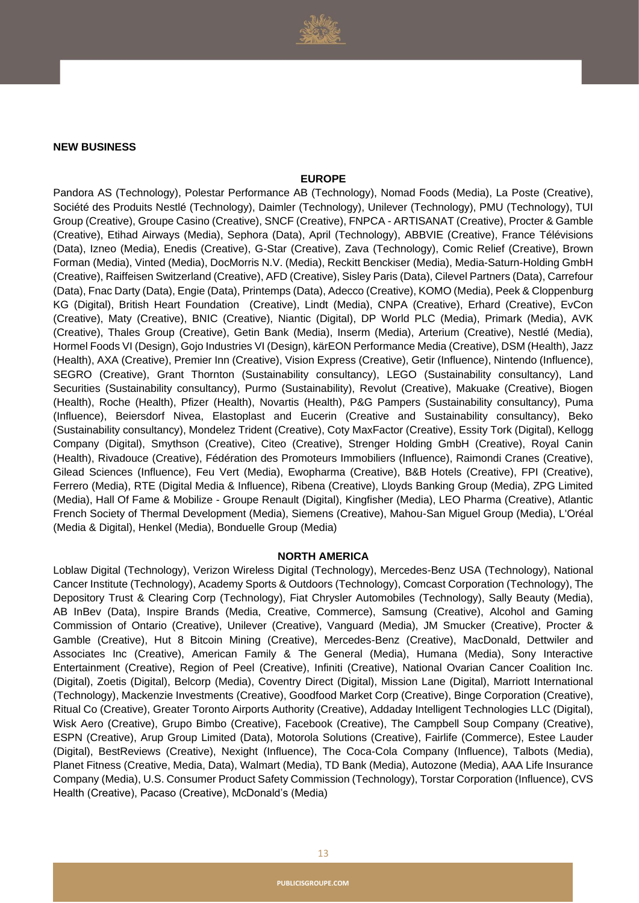

#### **NEW BUSINESS**

#### **EUROPE**

Pandora AS (Technology), Polestar Performance AB (Technology), Nomad Foods (Media), La Poste (Creative), Société des Produits Nestlé (Technology), Daimler (Technology), Unilever (Technology), PMU (Technology), TUI Group (Creative), Groupe Casino (Creative), SNCF (Creative), FNPCA - ARTISANAT (Creative), Procter & Gamble (Creative), Etihad Airways (Media), Sephora (Data), April (Technology), ABBVIE (Creative), France Télévisions (Data), Izneo (Media), Enedis (Creative), G-Star (Creative), Zava (Technology), Comic Relief (Creative), Brown Forman (Media), Vinted (Media), DocMorris N.V. (Media), Reckitt Benckiser (Media), Media-Saturn-Holding GmbH (Creative), Raiffeisen Switzerland (Creative), AFD (Creative), Sisley Paris (Data), Cilevel Partners (Data), Carrefour (Data), Fnac Darty (Data), Engie (Data), Printemps (Data), Adecco (Creative), KOMO (Media), Peek & Cloppenburg KG (Digital), British Heart Foundation (Creative), Lindt (Media), CNPA (Creative), Erhard (Creative), EvCon (Creative), Maty (Creative), BNIC (Creative), Niantic (Digital), DP World PLC (Media), Primark (Media), AVK (Creative), Thales Group (Creative), Getin Bank (Media), Inserm (Media), Arterium (Creative), Nestlé (Media), Hormel Foods VI (Design), Gojo Industries VI (Design), kärEON Performance Media (Creative), DSM (Health), Jazz (Health), AXA (Creative), Premier Inn (Creative), Vision Express (Creative), Getir (Influence), Nintendo (Influence), SEGRO (Creative), Grant Thornton (Sustainability consultancy), LEGO (Sustainability consultancy), Land Securities (Sustainability consultancy), Purmo (Sustainability), Revolut (Creative), Makuake (Creative), Biogen (Health), Roche (Health), Pfizer (Health), Novartis (Health), P&G Pampers (Sustainability consultancy), Puma (Influence), Beiersdorf Nivea, Elastoplast and Eucerin (Creative and Sustainability consultancy), Beko (Sustainability consultancy), Mondelez Trident (Creative), Coty MaxFactor (Creative), Essity Tork (Digital), Kellogg Company (Digital), Smythson (Creative), Citeo (Creative), Strenger Holding GmbH (Creative), Royal Canin (Health), Rivadouce (Creative), Fédération des Promoteurs Immobiliers (Influence), Raimondi Cranes (Creative), Gilead Sciences (Influence), Feu Vert (Media), Ewopharma (Creative), B&B Hotels (Creative), FPI (Creative), Ferrero (Media), RTE (Digital Media & Influence), Ribena (Creative), Lloyds Banking Group (Media), ZPG Limited (Media), Hall Of Fame & Mobilize - Groupe Renault (Digital), Kingfisher (Media), LEO Pharma (Creative), Atlantic French Society of Thermal Development (Media), Siemens (Creative), Mahou-San Miguel Group (Media), L'Oréal (Media & Digital), Henkel (Media), Bonduelle Group (Media)

#### **NORTH AMERICA**

Loblaw Digital (Technology), Verizon Wireless Digital (Technology), Mercedes-Benz USA (Technology), National Cancer Institute (Technology), Academy Sports & Outdoors (Technology), Comcast Corporation (Technology), The Depository Trust & Clearing Corp (Technology), Fiat Chrysler Automobiles (Technology), Sally Beauty (Media), AB InBev (Data), Inspire Brands (Media, Creative, Commerce), Samsung (Creative), Alcohol and Gaming Commission of Ontario (Creative), Unilever (Creative), Vanguard (Media), JM Smucker (Creative), Procter & Gamble (Creative), Hut 8 Bitcoin Mining (Creative), Mercedes-Benz (Creative), MacDonald, Dettwiler and Associates Inc (Creative), American Family & The General (Media), Humana (Media), Sony Interactive Entertainment (Creative), Region of Peel (Creative), Infiniti (Creative), National Ovarian Cancer Coalition Inc. (Digital), Zoetis (Digital), Belcorp (Media), Coventry Direct (Digital), Mission Lane (Digital), Marriott International (Technology), Mackenzie Investments (Creative), Goodfood Market Corp (Creative), Binge Corporation (Creative), Ritual Co (Creative), Greater Toronto Airports Authority (Creative), Addaday Intelligent Technologies LLC (Digital), Wisk Aero (Creative), Grupo Bimbo (Creative), Facebook (Creative), The Campbell Soup Company (Creative), ESPN (Creative), Arup Group Limited (Data), Motorola Solutions (Creative), Fairlife (Commerce), Estee Lauder (Digital), BestReviews (Creative), Nexight (Influence), The Coca-Cola Company (Influence), Talbots (Media), Planet Fitness (Creative, Media, Data), Walmart (Media), TD Bank (Media), Autozone (Media), AAA Life Insurance Company (Media), U.S. Consumer Product Safety Commission (Technology), Torstar Corporation (Influence), CVS Health (Creative), Pacaso (Creative), McDonald's (Media)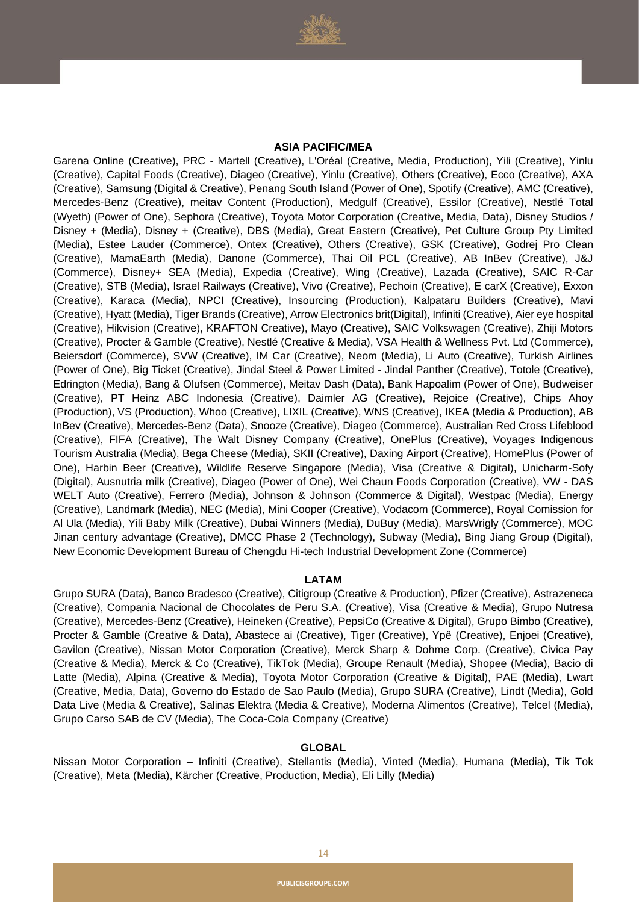

#### **ASIA PACIFIC/MEA**

Garena Online (Creative), PRC - Martell (Creative), L'Oréal (Creative, Media, Production), Yili (Creative), Yinlu (Creative), Capital Foods (Creative), Diageo (Creative), Yinlu (Creative), Others (Creative), Ecco (Creative), AXA (Creative), Samsung (Digital & Creative), Penang South Island (Power of One), Spotify (Creative), AMC (Creative), Mercedes-Benz (Creative), meitav Content (Production), Medgulf (Creative), Essilor (Creative), Nestlé Total (Wyeth) (Power of One), Sephora (Creative), Toyota Motor Corporation (Creative, Media, Data), Disney Studios / Disney + (Media), Disney + (Creative), DBS (Media), Great Eastern (Creative), Pet Culture Group Pty Limited (Media), Estee Lauder (Commerce), Ontex (Creative), Others (Creative), GSK (Creative), Godrej Pro Clean (Creative), MamaEarth (Media), Danone (Commerce), Thai Oil PCL (Creative), AB InBev (Creative), J&J (Commerce), Disney+ SEA (Media), Expedia (Creative), Wing (Creative), Lazada (Creative), SAIC R-Car (Creative), STB (Media), Israel Railways (Creative), Vivo (Creative), Pechoin (Creative), E carX (Creative), Exxon (Creative), Karaca (Media), NPCI (Creative), Insourcing (Production), Kalpataru Builders (Creative), Mavi (Creative), Hyatt (Media), Tiger Brands (Creative), Arrow Electronics brit(Digital), Infiniti (Creative), Aier eye hospital (Creative), Hikvision (Creative), KRAFTON Creative), Mayo (Creative), SAIC Volkswagen (Creative), Zhiji Motors (Creative), Procter & Gamble (Creative), Nestlé (Creative & Media), VSA Health & Wellness Pvt. Ltd (Commerce), Beiersdorf (Commerce), SVW (Creative), IM Car (Creative), Neom (Media), Li Auto (Creative), Turkish Airlines (Power of One), Big Ticket (Creative), Jindal Steel & Power Limited - Jindal Panther (Creative), Totole (Creative), Edrington (Media), Bang & Olufsen (Commerce), Meitav Dash (Data), Bank Hapoalim (Power of One), Budweiser (Creative), PT Heinz ABC Indonesia (Creative), Daimler AG (Creative), Rejoice (Creative), Chips Ahoy (Production), VS (Production), Whoo (Creative), LIXIL (Creative), WNS (Creative), IKEA (Media & Production), AB InBev (Creative), Mercedes-Benz (Data), Snooze (Creative), Diageo (Commerce), Australian Red Cross Lifeblood (Creative), FIFA (Creative), The Walt Disney Company (Creative), OnePlus (Creative), Voyages Indigenous Tourism Australia (Media), Bega Cheese (Media), SKII (Creative), Daxing Airport (Creative), HomePlus (Power of One), Harbin Beer (Creative), Wildlife Reserve Singapore (Media), Visa (Creative & Digital), Unicharm-Sofy (Digital), Ausnutria milk (Creative), Diageo (Power of One), Wei Chaun Foods Corporation (Creative), VW - DAS WELT Auto (Creative), Ferrero (Media), Johnson & Johnson (Commerce & Digital), Westpac (Media), Energy (Creative), Landmark (Media), NEC (Media), Mini Cooper (Creative), Vodacom (Commerce), Royal Comission for Al Ula (Media), Yili Baby Milk (Creative), Dubai Winners (Media), DuBuy (Media), MarsWrigly (Commerce), MOC Jinan century advantage (Creative), DMCC Phase 2 (Technology), Subway (Media), Bing Jiang Group (Digital), New Economic Development Bureau of Chengdu Hi-tech Industrial Development Zone (Commerce)

#### **LATAM**

Grupo SURA (Data), Banco Bradesco (Creative), Citigroup (Creative & Production), Pfizer (Creative), Astrazeneca (Creative), Compania Nacional de Chocolates de Peru S.A. (Creative), Visa (Creative & Media), Grupo Nutresa (Creative), Mercedes-Benz (Creative), Heineken (Creative), PepsiCo (Creative & Digital), Grupo Bimbo (Creative), Procter & Gamble (Creative & Data), Abastece ai (Creative), Tiger (Creative), Ypê (Creative), Enjoei (Creative), Gavilon (Creative), Nissan Motor Corporation (Creative), Merck Sharp & Dohme Corp. (Creative), Civica Pay (Creative & Media), Merck & Co (Creative), TikTok (Media), Groupe Renault (Media), Shopee (Media), Bacio di Latte (Media), Alpina (Creative & Media), Toyota Motor Corporation (Creative & Digital), PAE (Media), Lwart (Creative, Media, Data), Governo do Estado de Sao Paulo (Media), Grupo SURA (Creative), Lindt (Media), Gold Data Live (Media & Creative), Salinas Elektra (Media & Creative), Moderna Alimentos (Creative), Telcel (Media), Grupo Carso SAB de CV (Media), The Coca-Cola Company (Creative)

#### **GLOBAL**

Nissan Motor Corporation – Infiniti (Creative), Stellantis (Media), Vinted (Media), Humana (Media), Tik Tok (Creative), Meta (Media), Kärcher (Creative, Production, Media), Eli Lilly (Media)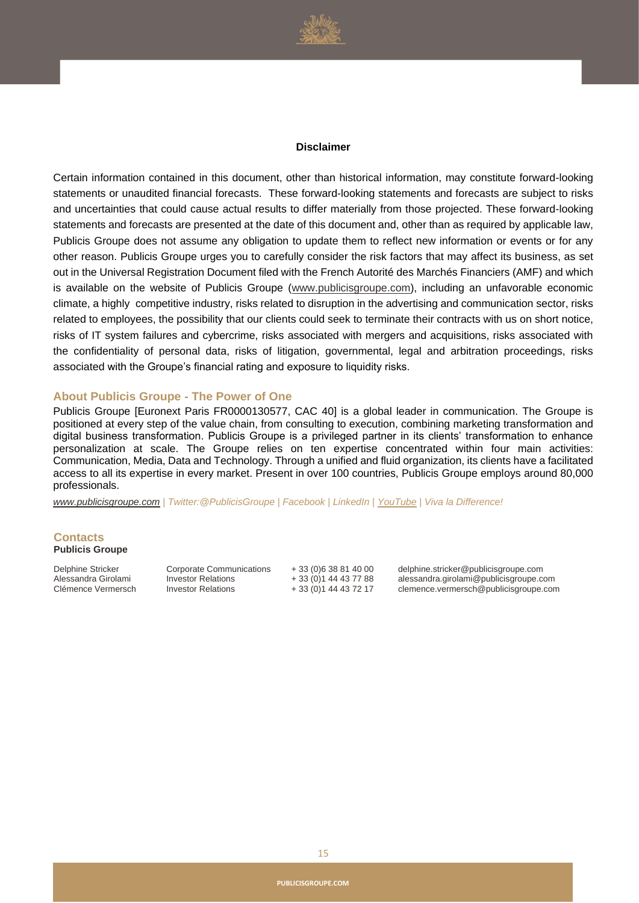

#### **Disclaimer**

Certain information contained in this document, other than historical information, may constitute forward-looking statements or unaudited financial forecasts. These forward-looking statements and forecasts are subject to risks and uncertainties that could cause actual results to differ materially from those projected. These forward-looking statements and forecasts are presented at the date of this document and, other than as required by applicable law, Publicis Groupe does not assume any obligation to update them to reflect new information or events or for any other reason. Publicis Groupe urges you to carefully consider the risk factors that may affect its business, as set out in the Universal Registration Document filed with the French Autorité des Marchés Financiers (AMF) and which is available on the website of Publicis Groupe [\(www.publicisgroupe.com\)](http://www.publicisgroupe.com/), including an unfavorable economic climate, a highly competitive industry, risks related to disruption in the advertising and communication sector, risks related to employees, the possibility that our clients could seek to terminate their contracts with us on short notice, risks of IT system failures and cybercrime, risks associated with mergers and acquisitions, risks associated with the confidentiality of personal data, risks of litigation, governmental, legal and arbitration proceedings, risks associated with the Groupe's financial rating and exposure to liquidity risks.

#### **About Publicis Groupe - The Power of One**

Publicis Groupe [Euronext Paris FR0000130577, CAC 40] is a global leader in communication. The Groupe is positioned at every step of the value chain, from consulting to execution, combining marketing transformation and digital business transformation. Publicis Groupe is a privileged partner in its clients' transformation to enhance personalization at scale. The Groupe relies on ten expertise concentrated within four main activities: Communication, Media, Data and Technology. Through a unified and fluid organization, its clients have a facilitated access to all its expertise in every market. Present in over 100 countries, Publicis Groupe employs around 80,000 professionals.

*[www.publicisgroupe.com](http://www.publicisgroupe.com/) | Twitter:@PublicisGroupe | Facebook | LinkedIn [| YouTube](http://www.youtube.com/user/PublicisGroupe) | Viva la Difference!*

#### **Contacts Publicis Groupe**

Delphine Stricker Alessandra Girolami Corporate Communications Investor Relations

+ 33 (0)6 38 81 40 00 + 33 (0)1 44 43 77 88

delphine.stricker@publicisgroupe.com alessandra.girolami@publicisgroupe.com Clémence Vermersch Investor Relations + 33 (0)1 44 43 72 17 clemence.vermersch@publicisgroupe.com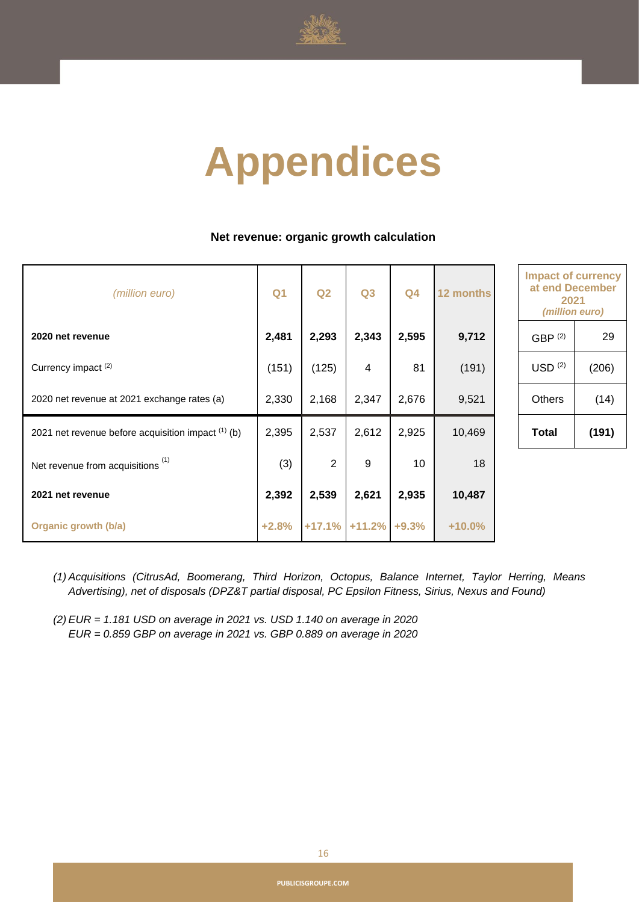

# **Appendices**

#### **Net revenue: organic growth calculation**

| (million euro)                                       | Q <sub>1</sub> | Q2             | Q3               | Q <sub>4</sub> | 12 months | <b>Impact of currend</b><br>at end Decembe<br>2021<br>(million euro) |       |
|------------------------------------------------------|----------------|----------------|------------------|----------------|-----------|----------------------------------------------------------------------|-------|
| 2020 net revenue                                     | 2,481          | 2,293          | 2,343            | 2,595          | 9,712     | GBP <sup>(2)</sup>                                                   | 29    |
| Currency impact <sup>(2)</sup>                       | (151)          | (125)          | 4                | 81             | (191)     | USD <sup>(2)</sup>                                                   | (206) |
| 2020 net revenue at 2021 exchange rates (a)          | 2,330          | 2,168          | 2,347            | 2,676          | 9,521     | <b>Others</b>                                                        | (14)  |
| 2021 net revenue before acquisition impact $(1)$ (b) | 2,395          | 2,537          | 2,612            | 2,925          | 10,469    | Total                                                                | (191) |
| Net revenue from acquisitions <sup>(1)</sup>         | (3)            | $\overline{2}$ | 9                | 10             | 18        |                                                                      |       |
| 2021 net revenue                                     | 2,392          | 2,539          | 2,621            | 2,935          | 10,487    |                                                                      |       |
| Organic growth (b/a)                                 | $+2.8%$        |                | $+17.1\%$ +11.2% | $+9.3%$        | $+10.0%$  |                                                                      |       |

| <b>Impact of currency</b><br>at end December<br>2021<br>(million euro) |       |  |  |
|------------------------------------------------------------------------|-------|--|--|
| GBP <sup>(2)</sup>                                                     | 29    |  |  |
| USD <sup>(2)</sup>                                                     | (206) |  |  |
| Others<br>(14)                                                         |       |  |  |
| (191)<br>Total                                                         |       |  |  |

- *(1) Acquisitions (CitrusAd, Boomerang, Third Horizon, Octopus, Balance Internet, Taylor Herring, Means Advertising), net of disposals (DPZ&T partial disposal, PC Epsilon Fitness, Sirius, Nexus and Found)*
- *(2) EUR = 1.181 USD on average in 2021 vs. USD 1.140 on average in 2020 EUR = 0.859 GBP on average in 2021 vs. GBP 0.889 on average in 2020*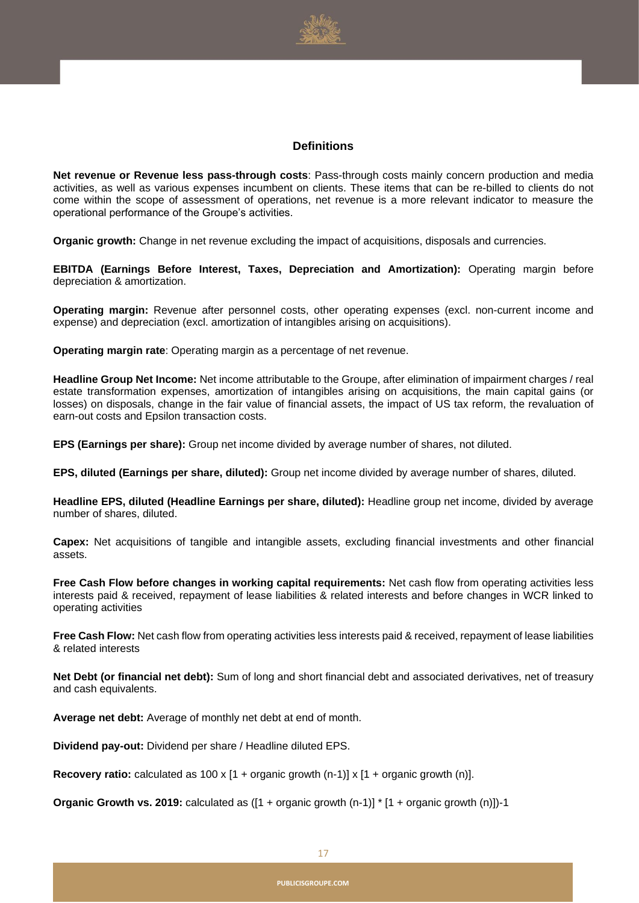

#### **Definitions**

**Net revenue or Revenue less pass-through costs**: Pass-through costs mainly concern production and media activities, as well as various expenses incumbent on clients. These items that can be re-billed to clients do not come within the scope of assessment of operations, net revenue is a more relevant indicator to measure the operational performance of the Groupe's activities.

**Organic growth:** Change in net revenue excluding the impact of acquisitions, disposals and currencies.

**EBITDA (Earnings Before Interest, Taxes, Depreciation and Amortization):** Operating margin before depreciation & amortization.

**Operating margin:** Revenue after personnel costs, other operating expenses (excl. non-current income and expense) and depreciation (excl. amortization of intangibles arising on acquisitions).

**Operating margin rate**: Operating margin as a percentage of net revenue.

**Headline Group Net Income:** Net income attributable to the Groupe, after elimination of impairment charges / real estate transformation expenses, amortization of intangibles arising on acquisitions, the main capital gains (or losses) on disposals, change in the fair value of financial assets, the impact of US tax reform, the revaluation of earn-out costs and Epsilon transaction costs.

**EPS (Earnings per share):** Group net income divided by average number of shares, not diluted.

**EPS, diluted (Earnings per share, diluted):** Group net income divided by average number of shares, diluted.

**Headline EPS, diluted (Headline Earnings per share, diluted):** Headline group net income, divided by average number of shares, diluted.

**Capex:** Net acquisitions of tangible and intangible assets, excluding financial investments and other financial assets.

**Free Cash Flow before changes in working capital requirements:** Net cash flow from operating activities less interests paid & received, repayment of lease liabilities & related interests and before changes in WCR linked to operating activities

**Free Cash Flow:** Net cash flow from operating activities less interests paid & received, repayment of lease liabilities & related interests

**Net Debt (or financial net debt):** Sum of long and short financial debt and associated derivatives, net of treasury and cash equivalents.

**Average net debt:** Average of monthly net debt at end of month.

**Dividend pay-out:** Dividend per share / Headline diluted EPS.

**Recovery ratio:** calculated as  $100 \times [1 + \text{organic growth (n-1)}] \times [1 + \text{organic growth (n)}].$ 

**Organic Growth vs. 2019:** calculated as ([1 + organic growth (n-1)] \* [1 + organic growth (n)])-1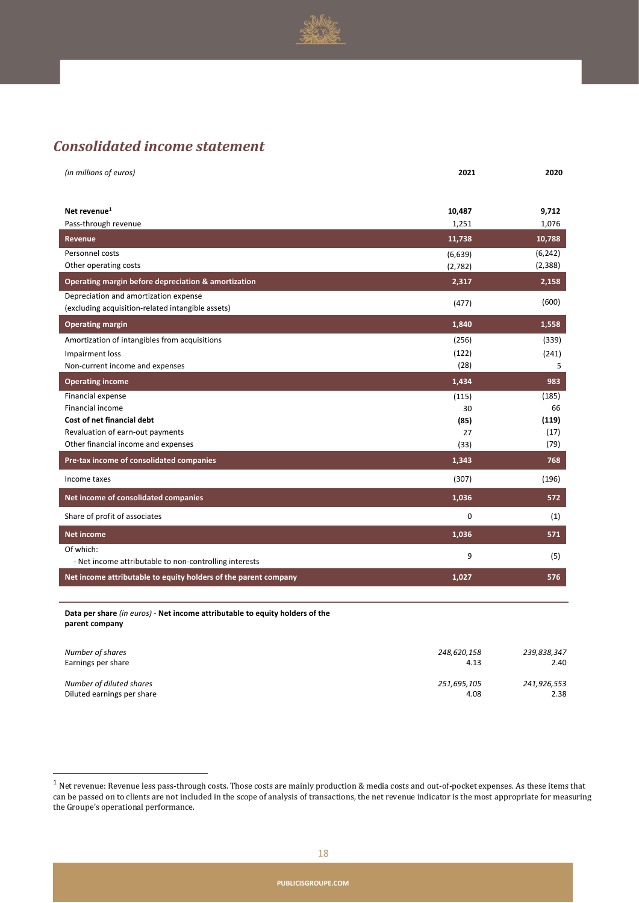

### *Consolidated income statement*

| (in millions of euros)                                          | 2021    | 2020     |
|-----------------------------------------------------------------|---------|----------|
|                                                                 |         |          |
| Net revenue <sup>1</sup>                                        | 10,487  | 9,712    |
| Pass-through revenue                                            | 1,251   | 1,076    |
| Revenue                                                         | 11,738  | 10,788   |
| Personnel costs                                                 | (6,639) | (6, 242) |
| Other operating costs                                           | (2,782) | (2, 388) |
| Operating margin before depreciation & amortization             | 2,317   | 2,158    |
| Depreciation and amortization expense                           | (477)   | (600)    |
| (excluding acquisition-related intangible assets)               |         |          |
| <b>Operating margin</b>                                         | 1,840   | 1,558    |
| Amortization of intangibles from acquisitions                   | (256)   | (339)    |
| Impairment loss                                                 | (122)   | (241)    |
| Non-current income and expenses                                 | (28)    | 5        |
| <b>Operating income</b>                                         | 1,434   | 983      |
| Financial expense                                               | (115)   | (185)    |
| Financial income                                                | 30      | 66       |
| Cost of net financial debt                                      | (85)    | (119)    |
| Revaluation of earn-out payments                                | 27      | (17)     |
| Other financial income and expenses                             | (33)    | (79)     |
| Pre-tax income of consolidated companies                        | 1,343   | 768      |
| Income taxes                                                    | (307)   | (196)    |
| Net income of consolidated companies                            | 1,036   | 572      |
| Share of profit of associates                                   | 0       | (1)      |
| <b>Net income</b>                                               | 1,036   | 571      |
| Of which:                                                       | 9       | (5)      |
| - Net income attributable to non-controlling interests          |         |          |
| Net income attributable to equity holders of the parent company | 1,027   | 576      |

**Data per share** *(in euros) -* **Net income attributable to equity holders of the parent company**

| Number of shares           | 248,620,158 | 239,838,347 |
|----------------------------|-------------|-------------|
| Earnings per share         | 4.13        | 2.40        |
| Number of diluted shares   | 251,695,105 | 241,926,553 |
| Diluted earnings per share | 4.08        | 2.38        |

 $1$  Net revenue: Revenue less pass-through costs. Those costs are mainly production & media costs and out-of-pocket expenses. As these items that can be passed on to clients are not included in the scope of analysis of transactions, the net revenue indicator is the most appropriate for measuring the Groupe's operational performance.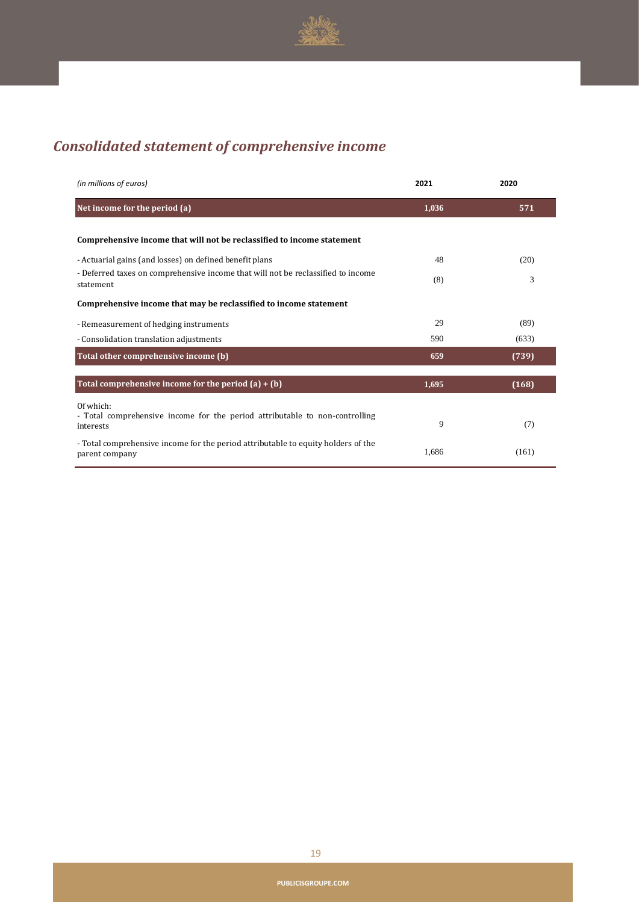

# *Consolidated statement of comprehensive income*

| (in millions of euros)                                                                                | 2021  | 2020  |
|-------------------------------------------------------------------------------------------------------|-------|-------|
| Net income for the period (a)                                                                         | 1,036 | 571   |
| Comprehensive income that will not be reclassified to income statement                                |       |       |
| - Actuarial gains (and losses) on defined benefit plans                                               | 48    | (20)  |
| - Deferred taxes on comprehensive income that will not be reclassified to income<br>statement         | (8)   | 3     |
| Comprehensive income that may be reclassified to income statement                                     |       |       |
| - Remeasurement of hedging instruments                                                                | 29    | (89)  |
| - Consolidation translation adjustments                                                               | 590   | (633) |
| Total other comprehensive income (b)                                                                  | 659   | (739) |
| Total comprehensive income for the period $(a) + (b)$                                                 | 1,695 | (168) |
| Of which:<br>- Total comprehensive income for the period attributable to non-controlling<br>interests | 9     | (7)   |
| - Total comprehensive income for the period attributable to equity holders of the<br>parent company   | 1,686 | (161) |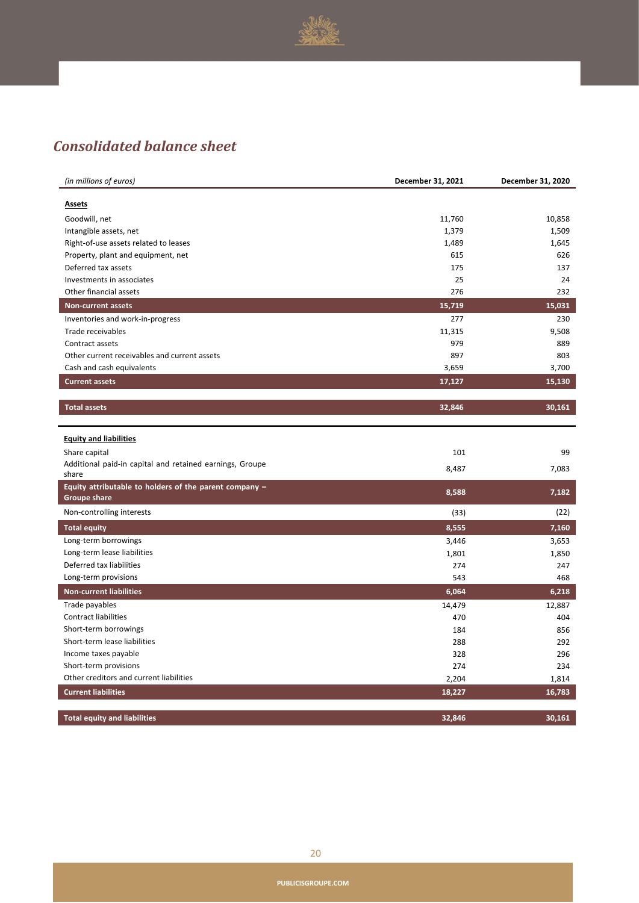

## *Consolidated balance sheet*

| <b>Assets</b><br>Goodwill, net<br>11,760<br>10,858<br>1,379<br>1,509<br>Intangible assets, net<br>1,645<br>Right-of-use assets related to leases<br>1,489<br>Property, plant and equipment, net<br>615<br>626<br>175<br>137<br>Deferred tax assets<br>25<br>24<br>Investments in associates<br>Other financial assets<br>276<br>232<br>15,719<br>15,031<br><b>Non-current assets</b><br>Inventories and work-in-progress<br>277<br>230<br>11,315<br>9,508<br>Trade receivables<br>979<br>889<br>Contract assets<br>897<br>Other current receivables and current assets<br>803<br>3,659<br>3,700<br>Cash and cash equivalents<br><b>Current assets</b><br>17,127<br>15,130<br><b>Total assets</b><br>32,846<br>30,161<br><b>Equity and liabilities</b><br>Share capital<br>101<br>99<br>Additional paid-in capital and retained earnings, Groupe<br>8,487<br>7,083<br>share<br>Equity attributable to holders of the parent company $-$<br>8,588<br>7,182<br><b>Groupe share</b><br>Non-controlling interests<br>(22)<br>(33)<br><b>Total equity</b><br>8,555<br>7,160<br>Long-term borrowings<br>3,446<br>3,653<br>Long-term lease liabilities<br>1,801<br>1,850<br>Deferred tax liabilities<br>274<br>247<br>Long-term provisions<br>543<br>468<br><b>Non-current liabilities</b><br>6,064<br>6,218<br>Trade payables<br>14,479<br>12,887<br>Contract liabilities<br>470<br>404<br>Short-term borrowings<br>184<br>856<br>Short-term lease liabilities<br>288<br>292<br>Income taxes payable<br>328<br>296<br>Short-term provisions<br>274<br>234<br>Other creditors and current liabilities<br>2,204<br>1,814<br><b>Current liabilities</b><br>18,227<br>16,783 | (in millions of euros) | December 31, 2021 | December 31, 2020 |
|-------------------------------------------------------------------------------------------------------------------------------------------------------------------------------------------------------------------------------------------------------------------------------------------------------------------------------------------------------------------------------------------------------------------------------------------------------------------------------------------------------------------------------------------------------------------------------------------------------------------------------------------------------------------------------------------------------------------------------------------------------------------------------------------------------------------------------------------------------------------------------------------------------------------------------------------------------------------------------------------------------------------------------------------------------------------------------------------------------------------------------------------------------------------------------------------------------------------------------------------------------------------------------------------------------------------------------------------------------------------------------------------------------------------------------------------------------------------------------------------------------------------------------------------------------------------------------------------------------------------------------------------------------------------|------------------------|-------------------|-------------------|
|                                                                                                                                                                                                                                                                                                                                                                                                                                                                                                                                                                                                                                                                                                                                                                                                                                                                                                                                                                                                                                                                                                                                                                                                                                                                                                                                                                                                                                                                                                                                                                                                                                                                   |                        |                   |                   |
|                                                                                                                                                                                                                                                                                                                                                                                                                                                                                                                                                                                                                                                                                                                                                                                                                                                                                                                                                                                                                                                                                                                                                                                                                                                                                                                                                                                                                                                                                                                                                                                                                                                                   |                        |                   |                   |
|                                                                                                                                                                                                                                                                                                                                                                                                                                                                                                                                                                                                                                                                                                                                                                                                                                                                                                                                                                                                                                                                                                                                                                                                                                                                                                                                                                                                                                                                                                                                                                                                                                                                   |                        |                   |                   |
|                                                                                                                                                                                                                                                                                                                                                                                                                                                                                                                                                                                                                                                                                                                                                                                                                                                                                                                                                                                                                                                                                                                                                                                                                                                                                                                                                                                                                                                                                                                                                                                                                                                                   |                        |                   |                   |
|                                                                                                                                                                                                                                                                                                                                                                                                                                                                                                                                                                                                                                                                                                                                                                                                                                                                                                                                                                                                                                                                                                                                                                                                                                                                                                                                                                                                                                                                                                                                                                                                                                                                   |                        |                   |                   |
|                                                                                                                                                                                                                                                                                                                                                                                                                                                                                                                                                                                                                                                                                                                                                                                                                                                                                                                                                                                                                                                                                                                                                                                                                                                                                                                                                                                                                                                                                                                                                                                                                                                                   |                        |                   |                   |
|                                                                                                                                                                                                                                                                                                                                                                                                                                                                                                                                                                                                                                                                                                                                                                                                                                                                                                                                                                                                                                                                                                                                                                                                                                                                                                                                                                                                                                                                                                                                                                                                                                                                   |                        |                   |                   |
|                                                                                                                                                                                                                                                                                                                                                                                                                                                                                                                                                                                                                                                                                                                                                                                                                                                                                                                                                                                                                                                                                                                                                                                                                                                                                                                                                                                                                                                                                                                                                                                                                                                                   |                        |                   |                   |
|                                                                                                                                                                                                                                                                                                                                                                                                                                                                                                                                                                                                                                                                                                                                                                                                                                                                                                                                                                                                                                                                                                                                                                                                                                                                                                                                                                                                                                                                                                                                                                                                                                                                   |                        |                   |                   |
|                                                                                                                                                                                                                                                                                                                                                                                                                                                                                                                                                                                                                                                                                                                                                                                                                                                                                                                                                                                                                                                                                                                                                                                                                                                                                                                                                                                                                                                                                                                                                                                                                                                                   |                        |                   |                   |
|                                                                                                                                                                                                                                                                                                                                                                                                                                                                                                                                                                                                                                                                                                                                                                                                                                                                                                                                                                                                                                                                                                                                                                                                                                                                                                                                                                                                                                                                                                                                                                                                                                                                   |                        |                   |                   |
|                                                                                                                                                                                                                                                                                                                                                                                                                                                                                                                                                                                                                                                                                                                                                                                                                                                                                                                                                                                                                                                                                                                                                                                                                                                                                                                                                                                                                                                                                                                                                                                                                                                                   |                        |                   |                   |
|                                                                                                                                                                                                                                                                                                                                                                                                                                                                                                                                                                                                                                                                                                                                                                                                                                                                                                                                                                                                                                                                                                                                                                                                                                                                                                                                                                                                                                                                                                                                                                                                                                                                   |                        |                   |                   |
|                                                                                                                                                                                                                                                                                                                                                                                                                                                                                                                                                                                                                                                                                                                                                                                                                                                                                                                                                                                                                                                                                                                                                                                                                                                                                                                                                                                                                                                                                                                                                                                                                                                                   |                        |                   |                   |
|                                                                                                                                                                                                                                                                                                                                                                                                                                                                                                                                                                                                                                                                                                                                                                                                                                                                                                                                                                                                                                                                                                                                                                                                                                                                                                                                                                                                                                                                                                                                                                                                                                                                   |                        |                   |                   |
|                                                                                                                                                                                                                                                                                                                                                                                                                                                                                                                                                                                                                                                                                                                                                                                                                                                                                                                                                                                                                                                                                                                                                                                                                                                                                                                                                                                                                                                                                                                                                                                                                                                                   |                        |                   |                   |
|                                                                                                                                                                                                                                                                                                                                                                                                                                                                                                                                                                                                                                                                                                                                                                                                                                                                                                                                                                                                                                                                                                                                                                                                                                                                                                                                                                                                                                                                                                                                                                                                                                                                   |                        |                   |                   |
|                                                                                                                                                                                                                                                                                                                                                                                                                                                                                                                                                                                                                                                                                                                                                                                                                                                                                                                                                                                                                                                                                                                                                                                                                                                                                                                                                                                                                                                                                                                                                                                                                                                                   |                        |                   |                   |
|                                                                                                                                                                                                                                                                                                                                                                                                                                                                                                                                                                                                                                                                                                                                                                                                                                                                                                                                                                                                                                                                                                                                                                                                                                                                                                                                                                                                                                                                                                                                                                                                                                                                   |                        |                   |                   |
|                                                                                                                                                                                                                                                                                                                                                                                                                                                                                                                                                                                                                                                                                                                                                                                                                                                                                                                                                                                                                                                                                                                                                                                                                                                                                                                                                                                                                                                                                                                                                                                                                                                                   |                        |                   |                   |
|                                                                                                                                                                                                                                                                                                                                                                                                                                                                                                                                                                                                                                                                                                                                                                                                                                                                                                                                                                                                                                                                                                                                                                                                                                                                                                                                                                                                                                                                                                                                                                                                                                                                   |                        |                   |                   |
|                                                                                                                                                                                                                                                                                                                                                                                                                                                                                                                                                                                                                                                                                                                                                                                                                                                                                                                                                                                                                                                                                                                                                                                                                                                                                                                                                                                                                                                                                                                                                                                                                                                                   |                        |                   |                   |
|                                                                                                                                                                                                                                                                                                                                                                                                                                                                                                                                                                                                                                                                                                                                                                                                                                                                                                                                                                                                                                                                                                                                                                                                                                                                                                                                                                                                                                                                                                                                                                                                                                                                   |                        |                   |                   |
|                                                                                                                                                                                                                                                                                                                                                                                                                                                                                                                                                                                                                                                                                                                                                                                                                                                                                                                                                                                                                                                                                                                                                                                                                                                                                                                                                                                                                                                                                                                                                                                                                                                                   |                        |                   |                   |
|                                                                                                                                                                                                                                                                                                                                                                                                                                                                                                                                                                                                                                                                                                                                                                                                                                                                                                                                                                                                                                                                                                                                                                                                                                                                                                                                                                                                                                                                                                                                                                                                                                                                   |                        |                   |                   |
|                                                                                                                                                                                                                                                                                                                                                                                                                                                                                                                                                                                                                                                                                                                                                                                                                                                                                                                                                                                                                                                                                                                                                                                                                                                                                                                                                                                                                                                                                                                                                                                                                                                                   |                        |                   |                   |
|                                                                                                                                                                                                                                                                                                                                                                                                                                                                                                                                                                                                                                                                                                                                                                                                                                                                                                                                                                                                                                                                                                                                                                                                                                                                                                                                                                                                                                                                                                                                                                                                                                                                   |                        |                   |                   |
|                                                                                                                                                                                                                                                                                                                                                                                                                                                                                                                                                                                                                                                                                                                                                                                                                                                                                                                                                                                                                                                                                                                                                                                                                                                                                                                                                                                                                                                                                                                                                                                                                                                                   |                        |                   |                   |
|                                                                                                                                                                                                                                                                                                                                                                                                                                                                                                                                                                                                                                                                                                                                                                                                                                                                                                                                                                                                                                                                                                                                                                                                                                                                                                                                                                                                                                                                                                                                                                                                                                                                   |                        |                   |                   |
|                                                                                                                                                                                                                                                                                                                                                                                                                                                                                                                                                                                                                                                                                                                                                                                                                                                                                                                                                                                                                                                                                                                                                                                                                                                                                                                                                                                                                                                                                                                                                                                                                                                                   |                        |                   |                   |
|                                                                                                                                                                                                                                                                                                                                                                                                                                                                                                                                                                                                                                                                                                                                                                                                                                                                                                                                                                                                                                                                                                                                                                                                                                                                                                                                                                                                                                                                                                                                                                                                                                                                   |                        |                   |                   |
|                                                                                                                                                                                                                                                                                                                                                                                                                                                                                                                                                                                                                                                                                                                                                                                                                                                                                                                                                                                                                                                                                                                                                                                                                                                                                                                                                                                                                                                                                                                                                                                                                                                                   |                        |                   |                   |
|                                                                                                                                                                                                                                                                                                                                                                                                                                                                                                                                                                                                                                                                                                                                                                                                                                                                                                                                                                                                                                                                                                                                                                                                                                                                                                                                                                                                                                                                                                                                                                                                                                                                   |                        |                   |                   |
|                                                                                                                                                                                                                                                                                                                                                                                                                                                                                                                                                                                                                                                                                                                                                                                                                                                                                                                                                                                                                                                                                                                                                                                                                                                                                                                                                                                                                                                                                                                                                                                                                                                                   |                        |                   |                   |
|                                                                                                                                                                                                                                                                                                                                                                                                                                                                                                                                                                                                                                                                                                                                                                                                                                                                                                                                                                                                                                                                                                                                                                                                                                                                                                                                                                                                                                                                                                                                                                                                                                                                   |                        |                   |                   |
|                                                                                                                                                                                                                                                                                                                                                                                                                                                                                                                                                                                                                                                                                                                                                                                                                                                                                                                                                                                                                                                                                                                                                                                                                                                                                                                                                                                                                                                                                                                                                                                                                                                                   |                        |                   |                   |
|                                                                                                                                                                                                                                                                                                                                                                                                                                                                                                                                                                                                                                                                                                                                                                                                                                                                                                                                                                                                                                                                                                                                                                                                                                                                                                                                                                                                                                                                                                                                                                                                                                                                   |                        |                   |                   |
|                                                                                                                                                                                                                                                                                                                                                                                                                                                                                                                                                                                                                                                                                                                                                                                                                                                                                                                                                                                                                                                                                                                                                                                                                                                                                                                                                                                                                                                                                                                                                                                                                                                                   |                        |                   |                   |
|                                                                                                                                                                                                                                                                                                                                                                                                                                                                                                                                                                                                                                                                                                                                                                                                                                                                                                                                                                                                                                                                                                                                                                                                                                                                                                                                                                                                                                                                                                                                                                                                                                                                   |                        |                   |                   |
|                                                                                                                                                                                                                                                                                                                                                                                                                                                                                                                                                                                                                                                                                                                                                                                                                                                                                                                                                                                                                                                                                                                                                                                                                                                                                                                                                                                                                                                                                                                                                                                                                                                                   |                        |                   |                   |
| <b>Total equity and liabilities</b><br>32,846<br>30,161                                                                                                                                                                                                                                                                                                                                                                                                                                                                                                                                                                                                                                                                                                                                                                                                                                                                                                                                                                                                                                                                                                                                                                                                                                                                                                                                                                                                                                                                                                                                                                                                           |                        |                   |                   |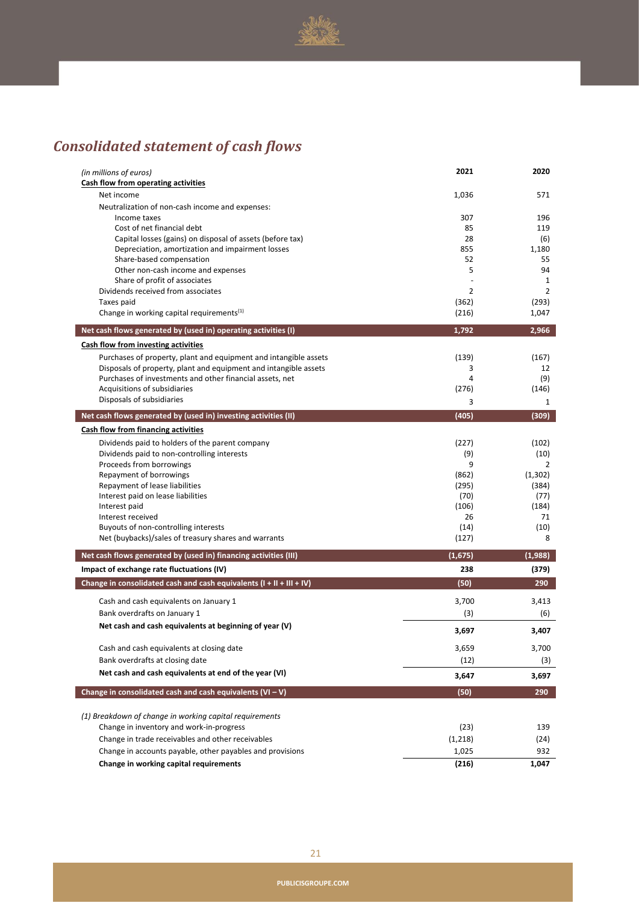

# *Consolidated statement of cash flows*

| (in millions of euros)                                                 | 2021           | 2020             |
|------------------------------------------------------------------------|----------------|------------------|
| Cash flow from operating activities                                    |                |                  |
| Net income                                                             | 1,036          | 571              |
| Neutralization of non-cash income and expenses:                        |                |                  |
| Income taxes<br>Cost of net financial debt                             | 307<br>85      | 196<br>119       |
| Capital losses (gains) on disposal of assets (before tax)              | 28             | (6)              |
| Depreciation, amortization and impairment losses                       | 855            | 1,180            |
| Share-based compensation                                               | 52             | 55               |
| Other non-cash income and expenses                                     | 5              | 94               |
| Share of profit of associates                                          |                | 1                |
| Dividends received from associates                                     | $\overline{2}$ | $\overline{2}$   |
| Taxes paid                                                             | (362)          | (293)            |
| Change in working capital requirements <sup>(1)</sup>                  | (216)          | 1,047            |
| Net cash flows generated by (used in) operating activities (I)         | 1,792          | 2,966            |
| Cash flow from investing activities                                    |                |                  |
| Purchases of property, plant and equipment and intangible assets       | (139)          | (167)            |
| Disposals of property, plant and equipment and intangible assets       | 3              | 12               |
| Purchases of investments and other financial assets, net               | 4              | (9)              |
| Acquisitions of subsidiaries                                           | (276)          | (146)            |
| Disposals of subsidiaries                                              | 3              | 1                |
| Net cash flows generated by (used in) investing activities (II)        | (405)          | (309)            |
| Cash flow from financing activities                                    |                |                  |
| Dividends paid to holders of the parent company                        | (227)          | (102)            |
| Dividends paid to non-controlling interests                            | (9)            | (10)             |
| Proceeds from borrowings                                               | 9              | 2                |
| Repayment of borrowings<br>Repayment of lease liabilities              | (862)<br>(295) | (1,302)<br>(384) |
| Interest paid on lease liabilities                                     | (70)           | (77)             |
| Interest paid                                                          | (106)          | (184)            |
| Interest received                                                      | 26             | 71               |
| Buyouts of non-controlling interests                                   | (14)           | (10)             |
| Net (buybacks)/sales of treasury shares and warrants                   | (127)          | 8                |
| Net cash flows generated by (used in) financing activities (III)       | (1,675)        | (1,988)          |
| Impact of exchange rate fluctuations (IV)                              | 238            | (379)            |
| Change in consolidated cash and cash equivalents $(I + II + III + IV)$ | (50)           | 290              |
| Cash and cash equivalents on January 1                                 | 3,700          | 3,413            |
| Bank overdrafts on January 1                                           | (3)            | (6)              |
| Net cash and cash equivalents at beginning of year (V)                 | 3,697          | 3,407            |
| Cash and cash equivalents at closing date                              | 3,659          | 3,700            |
| Bank overdrafts at closing date                                        | (12)           | (3)              |
|                                                                        |                |                  |
| Net cash and cash equivalents at end of the year (VI)                  | 3,647          | 3,697            |
| Change in consolidated cash and cash equivalents $(VI-V)$              | (50)           | 290              |
| (1) Breakdown of change in working capital requirements                |                |                  |
| Change in inventory and work-in-progress                               | (23)           | 139              |
| Change in trade receivables and other receivables                      | (1,218)        | (24)             |
| Change in accounts payable, other payables and provisions              | 1,025          | 932              |
| Change in working capital requirements                                 | (216)          | 1,047            |
|                                                                        |                |                  |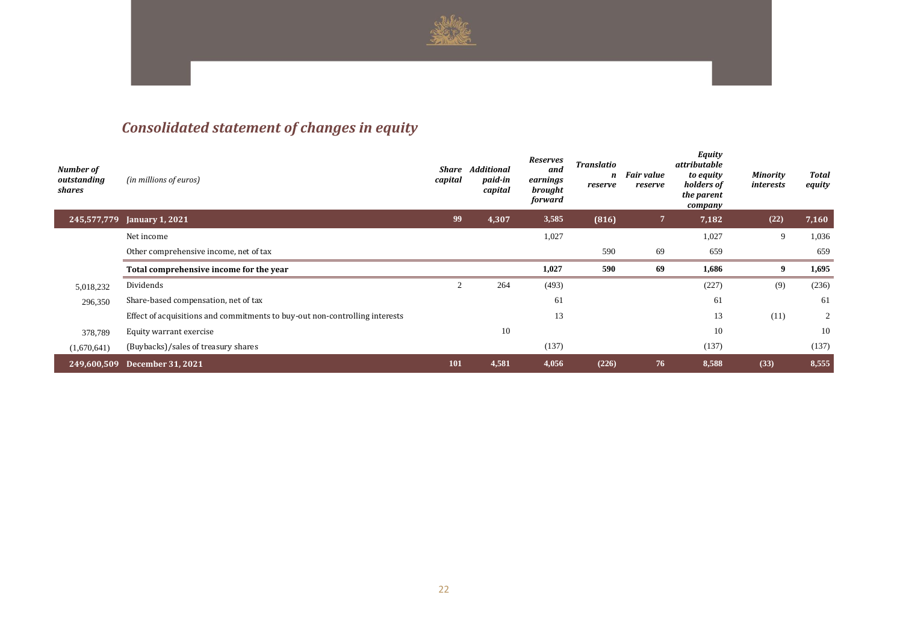

# *Consolidated statement of changes in equity*

| Number of<br>outstanding<br>shares | (in millions of euros)                                                      | Share<br>capital | <b>Additional</b><br>paid-in<br>capital | <b>Reserves</b><br>and<br>earnings<br>brought<br>forward | <b>Translatio</b><br>n<br>reserve | <b>Fair value</b><br>reserve | <b>Equity</b><br>attributable<br>to equity<br>holders of<br>the parent<br>company | Minority<br>interests | <b>Total</b><br>equity |
|------------------------------------|-----------------------------------------------------------------------------|------------------|-----------------------------------------|----------------------------------------------------------|-----------------------------------|------------------------------|-----------------------------------------------------------------------------------|-----------------------|------------------------|
| 245,577,779                        | <b>January 1, 2021</b>                                                      | 99               | 4,307                                   | 3,585                                                    | (816)                             | $\overline{7}$               | 7,182                                                                             | (22)                  | 7,160                  |
|                                    | Net income                                                                  |                  |                                         | 1,027                                                    |                                   |                              | 1,027                                                                             | 9                     | 1,036                  |
|                                    | Other comprehensive income, net of tax                                      |                  |                                         |                                                          | 590                               | 69                           | 659                                                                               |                       | 659                    |
|                                    | Total comprehensive income for the year                                     |                  |                                         | 1,027                                                    | 590                               | 69                           | 1,686                                                                             | 9                     | 1,695                  |
| 5,018,232                          | Dividends                                                                   |                  | 264                                     |                                                          |                                   |                              | (227)                                                                             |                       | (236)                  |
|                                    |                                                                             |                  |                                         | (493)                                                    |                                   |                              |                                                                                   | (9)                   |                        |
| 296,350                            | Share-based compensation, net of tax                                        |                  |                                         | 61                                                       |                                   |                              | 61                                                                                |                       | 61                     |
|                                    | Effect of acquisitions and commitments to buy-out non-controlling interests |                  |                                         | 13                                                       |                                   |                              | 13                                                                                | (11)                  | 2                      |
| 378,789                            | Equity warrant exercise                                                     |                  | 10                                      |                                                          |                                   |                              | 10                                                                                |                       | 10                     |
| (1,670,641)                        | (Buybacks)/sales of treasury shares                                         |                  |                                         | (137)                                                    |                                   |                              | (137)                                                                             |                       | (137)                  |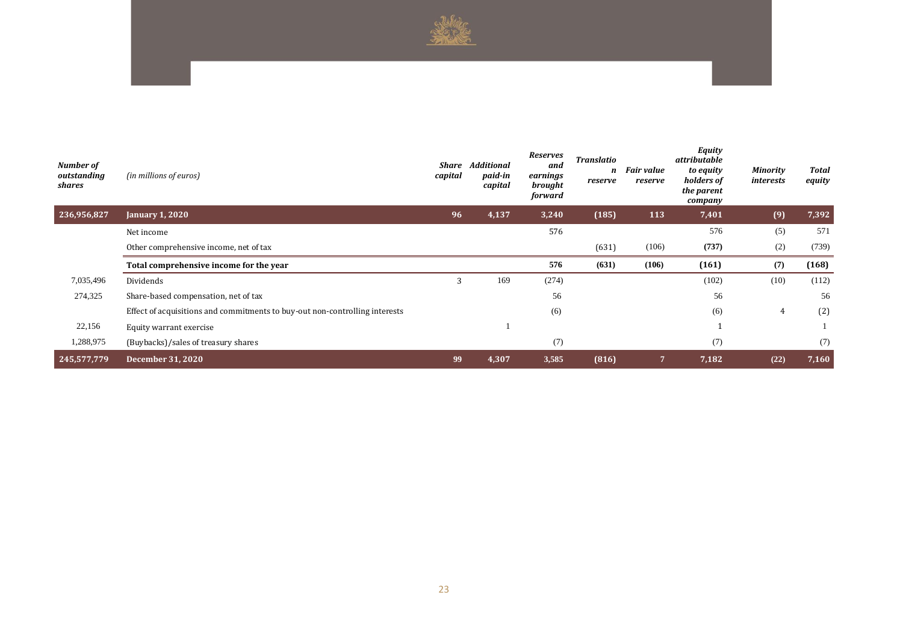

| Number of<br>outstanding<br>shares | (in millions of euros)                                                      | Share<br>capital | <b>Additional</b><br>paid-in<br>capital | Reserves<br>and<br>earnings<br>brought<br>forward | <b>Translatio</b><br>n<br>reserve | <b>Fair value</b><br>reserve | Equity<br>attributable<br>to equity<br>holders of<br>the parent<br>company | Minority<br>interests | <b>Total</b><br>equity |
|------------------------------------|-----------------------------------------------------------------------------|------------------|-----------------------------------------|---------------------------------------------------|-----------------------------------|------------------------------|----------------------------------------------------------------------------|-----------------------|------------------------|
| 236,956,827                        | <b>January 1, 2020</b>                                                      | 96               | 4,137                                   | 3,240                                             | (185)                             | <b>113</b>                   | 7,401                                                                      | (9)                   | 7,392                  |
|                                    | Net income                                                                  |                  |                                         | 576                                               |                                   |                              | 576                                                                        | (5)                   | 571                    |
|                                    | Other comprehensive income, net of tax                                      |                  |                                         |                                                   | (631)                             | (106)                        | (737)                                                                      | (2)                   | (739)                  |
|                                    | Total comprehensive income for the year                                     |                  |                                         | 576                                               | (631)                             | (106)                        | (161)                                                                      | (7)                   | (168)                  |
| 7,035,496                          | Dividends                                                                   | 3                | 169                                     | (274)                                             |                                   |                              | (102)                                                                      | (10)                  | (112)                  |
| 274,325                            | Share-based compensation, net of tax                                        |                  |                                         | 56                                                |                                   |                              | 56                                                                         |                       | 56                     |
|                                    | Effect of acquisitions and commitments to buy-out non-controlling interests |                  |                                         | (6)                                               |                                   |                              | (6)                                                                        | 4                     | (2)                    |
| 22,156                             | Equity warrant exercise                                                     |                  |                                         |                                                   |                                   |                              |                                                                            |                       |                        |
| 1,288,975                          | (Buybacks)/sales of treasury shares                                         |                  |                                         | (7)                                               |                                   |                              | (7)                                                                        |                       | (7)                    |
| 245,577,779                        | <b>December 31, 2020</b>                                                    | 99               | 4,307                                   | 3,585                                             | (816)                             | $\overline{7}$               | 7,182                                                                      | (22)                  | 7,160                  |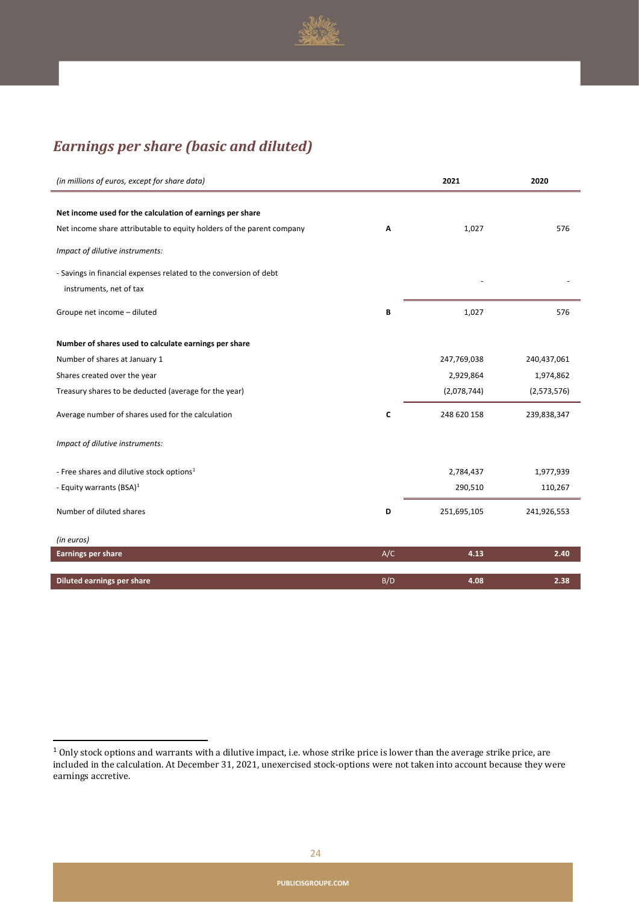

## *Earnings per share (basic and diluted)*

| (in millions of euros, except for share data)                         |     | 2021        | 2020        |
|-----------------------------------------------------------------------|-----|-------------|-------------|
|                                                                       |     |             |             |
| Net income used for the calculation of earnings per share             |     |             |             |
| Net income share attributable to equity holders of the parent company | A   | 1,027       | 576         |
| Impact of dilutive instruments:                                       |     |             |             |
| - Savings in financial expenses related to the conversion of debt     |     |             |             |
| instruments, net of tax                                               |     |             |             |
| Groupe net income - diluted                                           | В   | 1,027       | 576         |
| Number of shares used to calculate earnings per share                 |     |             |             |
| Number of shares at January 1                                         |     | 247,769,038 | 240,437,061 |
| Shares created over the year                                          |     | 2,929,864   | 1,974,862   |
| Treasury shares to be deducted (average for the year)                 |     | (2,078,744) | (2,573,576) |
| Average number of shares used for the calculation                     | C   | 248 620 158 | 239,838,347 |
| Impact of dilutive instruments:                                       |     |             |             |
| - Free shares and dilutive stock options <sup>1</sup>                 |     | 2,784,437   | 1,977,939   |
| - Equity warrants (BSA) $1$                                           |     | 290,510     | 110,267     |
| Number of diluted shares                                              | D   | 251,695,105 | 241,926,553 |
| (in euros)                                                            |     |             |             |
| <b>Earnings per share</b>                                             | A/C | 4.13        | 2.40        |
| <b>Diluted earnings per share</b>                                     | B/D | 4.08        | 2.38        |

 $1$  Only stock options and warrants with a dilutive impact, i.e. whose strike price is lower than the average strike price, are included in the calculation. At December 31, 2021, unexercised stock-options were not taken into account because they were earnings accretive.